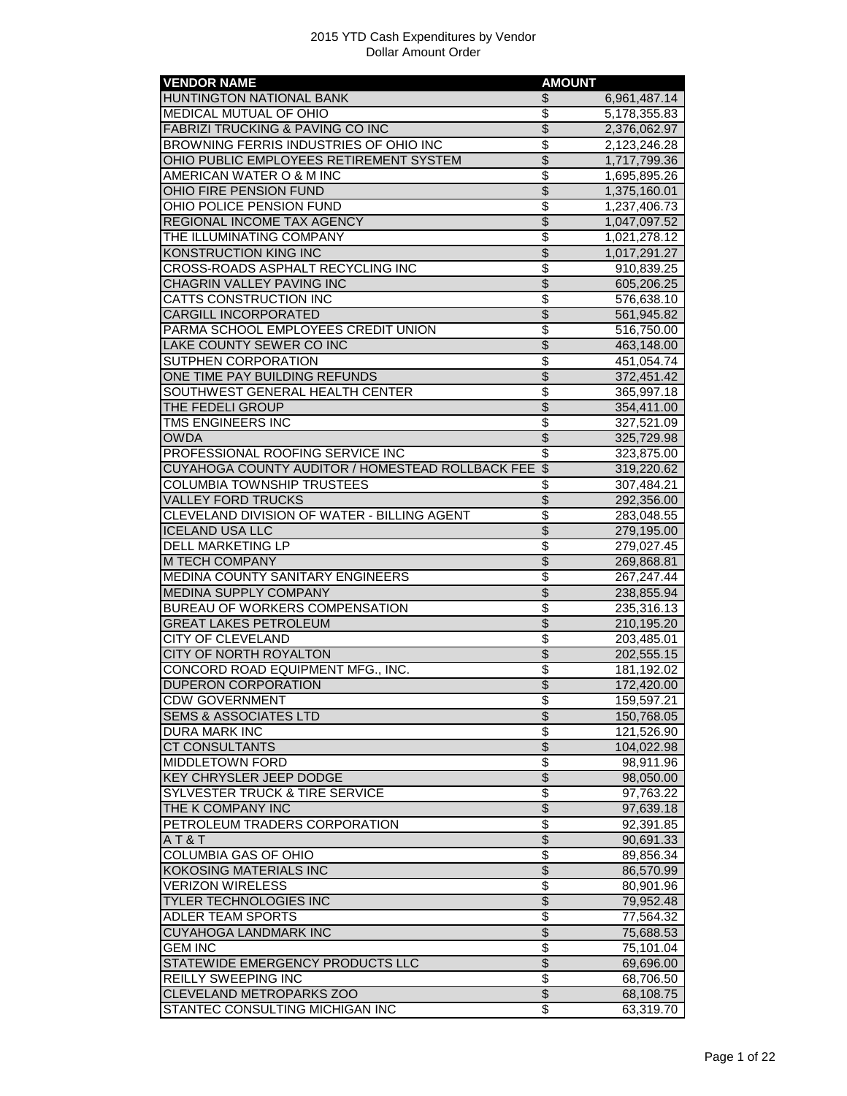| <b>VENDOR NAME</b>                                                      | <b>AMOUNT</b>                      |              |
|-------------------------------------------------------------------------|------------------------------------|--------------|
| HUNTINGTON NATIONAL BANK                                                | \$                                 | 6,961,487.14 |
| <b>MEDICAL MUTUAL OF OHIO</b>                                           | \$                                 | 5,178,355.83 |
| <b>FABRIZI TRUCKING &amp; PAVING CO INC</b>                             | $\overline{\mathcal{S}}$           | 2,376,062.97 |
| BROWNING FERRIS INDUSTRIES OF OHIO INC                                  | \$                                 | 2,123,246.28 |
| OHIO PUBLIC EMPLOYEES RETIREMENT SYSTEM                                 | $\overline{\$}$                    | 1,717,799.36 |
| AMERICAN WATER O & M INC                                                | \$                                 | 1,695,895.26 |
| OHIO FIRE PENSION FUND                                                  | $\overline{\$}$                    | 1,375,160.01 |
| OHIO POLICE PENSION FUND                                                | $\overline{\$}$                    | 1,237,406.73 |
| <b>REGIONAL INCOME TAX AGENCY</b>                                       | $\overline{\$}$                    | 1,047,097.52 |
| THE ILLUMINATING COMPANY                                                | \$                                 | 1,021,278.12 |
| KONSTRUCTION KING INC                                                   | $\overline{\$}$                    | 1,017,291.27 |
| CROSS-ROADS ASPHALT RECYCLING INC                                       | \$                                 | 910,839.25   |
| CHAGRIN VALLEY PAVING INC                                               | $\overline{\$}$                    | 605,206.25   |
| <b>CATTS CONSTRUCTION INC</b>                                           | \$                                 | 576,638.10   |
| CARGILL INCORPORATED                                                    | $\overline{\$}$                    | 561,945.82   |
| PARMA SCHOOL EMPLOYEES CREDIT UNION                                     | \$                                 | 516,750.00   |
| LAKE COUNTY SEWER CO INC                                                | $\overline{\$}$                    | 463,148.00   |
| SUTPHEN CORPORATION                                                     | $\overline{\$}$                    | 451,054.74   |
| ONE TIME PAY BUILDING REFUNDS                                           | $\overline{\$}$                    | 372,451.42   |
| SOUTHWEST GENERAL HEALTH CENTER                                         | \$                                 | 365,997.18   |
| THE FEDELI GROUP                                                        | $\overline{\$}$                    | 354,411.00   |
| TMS ENGINEERS INC                                                       | $\overline{\$}$                    | 327,521.09   |
| <b>OWDA</b>                                                             | $\overline{\$}$                    | 325,729.98   |
| PROFESSIONAL ROOFING SERVICE INC                                        | \$                                 | 323,875.00   |
| CUYAHOGA COUNTY AUDITOR / HOMESTEAD ROLLBACK FEE                        | $\overline{\mathcal{S}}$           | 319,220.62   |
| COLUMBIA TOWNSHIP TRUSTEES                                              | \$                                 | 307,484.21   |
| <b>VALLEY FORD TRUCKS</b>                                               | $\overline{\$}$                    | 292,356.00   |
| CLEVELAND DIVISION OF WATER - BILLING AGENT                             | $\overline{\mathcal{S}}$           | 283,048.55   |
| <b>ICELAND USA LLC</b>                                                  | $\overline{\$}$                    |              |
| <b>DELL MARKETING LP</b>                                                | $\overline{\$}$                    | 279,195.00   |
|                                                                         | $\overline{\$}$                    | 279,027.45   |
| M TECH COMPANY                                                          | \$                                 | 269,868.81   |
| <b>MEDINA COUNTY SANITARY ENGINEERS</b><br><b>MEDINA SUPPLY COMPANY</b> | $\overline{\$}$                    | 267,247.44   |
| <b>BUREAU OF WORKERS COMPENSATION</b>                                   | \$                                 | 238,855.94   |
|                                                                         |                                    | 235,316.13   |
| <b>GREAT LAKES PETROLEUM</b>                                            | $\overline{\$}$                    | 210,195.20   |
| CITY OF CLEVELAND                                                       | $\overline{\mathcal{S}}$           | 203,485.01   |
| CITY OF NORTH ROYALTON                                                  | $\overline{\$}$                    | 202,555.15   |
| CONCORD ROAD EQUIPMENT MFG., INC.                                       | \$                                 | 181,192.02   |
| <b>DUPERON CORPORATION</b>                                              | $\overline{\$}$                    | 172,420.00   |
| CDW GOVER <mark>NMENT</mark>                                            | Φ                                  | 159,597.21   |
| <b>SEMS &amp; ASSOCIATES LTD</b>                                        | $\overline{\$}$                    | 150,768.05   |
| DURA MARK INC                                                           | \$                                 | 121,526.90   |
| <b>CT CONSULTANTS</b>                                                   | $\overline{\$}$                    | 104,022.98   |
| <b>MIDDLETOWN FORD</b>                                                  | \$                                 | 98,911.96    |
| KEY CHRYSLER JEEP DODGE                                                 | $\overline{\mathcal{L}}$           | 98,050.00    |
| SYLVESTER TRUCK & TIRE SERVICE                                          | $\overline{\boldsymbol{\epsilon}}$ | 97,763.22    |
| THE K COMPANY INC                                                       | \$                                 | 97,639.18    |
| PETROLEUM TRADERS CORPORATION                                           | $\overline{\$}$                    | 92,391.85    |
| AT&T                                                                    | $\overline{\$}$                    | 90,691.33    |
| <b>COLUMBIA GAS OF OHIO</b>                                             | $\overline{\$}$                    | 89,856.34    |
| <b>KOKOSING MATERIALS INC</b>                                           | $\overline{\$}$                    | 86,570.99    |
| <b>VERIZON WIRELESS</b>                                                 | \$                                 | 80,901.96    |
| TYLER TECHNOLOGIES INC                                                  | $\frac{1}{2}$                      | 79,952.48    |
| ADLER TEAM SPORTS                                                       | \$                                 | 77,564.32    |
| <b>CUYAHOGA LANDMARK INC</b>                                            | \$                                 | 75,688.53    |
| <b>GEM INC</b>                                                          | \$                                 | 75,101.04    |
| STATEWIDE EMERGENCY PRODUCTS LLC                                        | $\overline{\$}$                    | 69,696.00    |
| REILLY SWEEPING INC                                                     | $\overline{\$}$                    | 68,706.50    |
| CLEVELAND METROPARKS ZOO                                                | $\overline{\$}$                    | 68,108.75    |
| STANTEC CONSULTING MICHIGAN INC                                         | $\overline{\mathcal{E}}$           | 63,319.70    |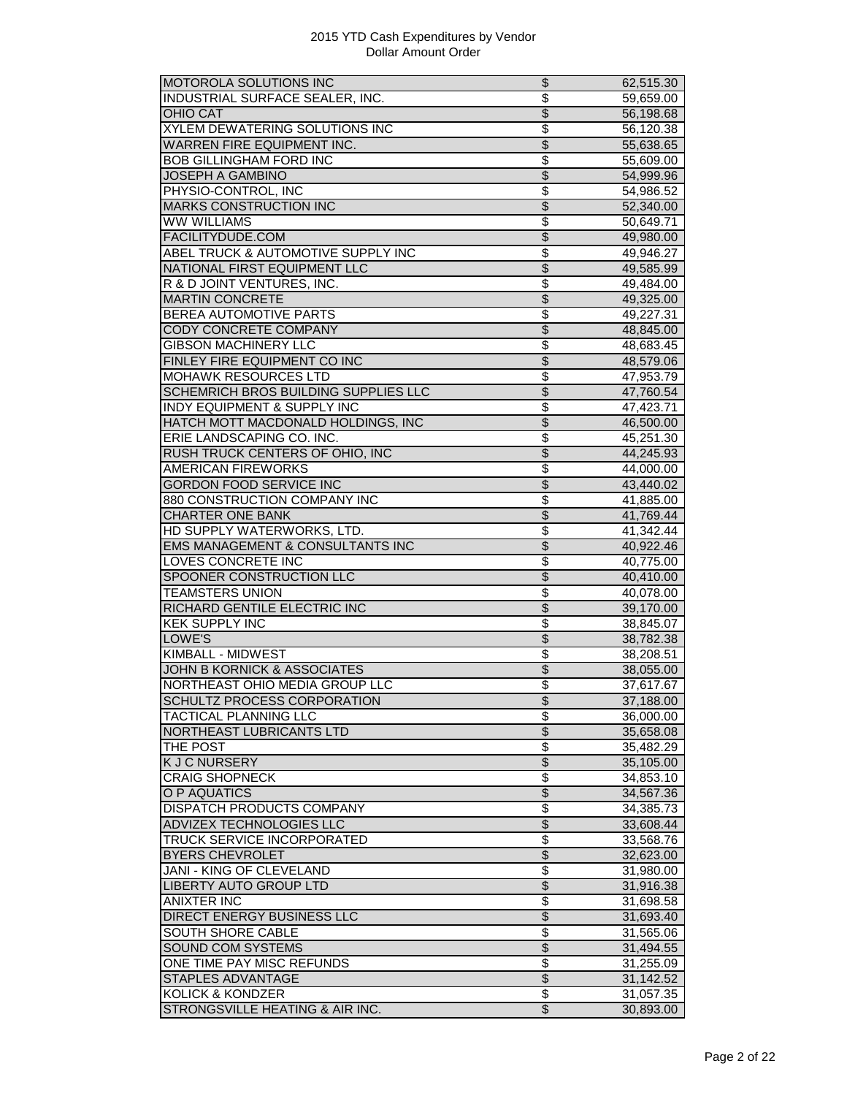| MOTOROLA SOLUTIONS INC                 | \$                       | 62,515.30 |
|----------------------------------------|--------------------------|-----------|
| INDUSTRIAL SURFACE SEALER, INC.        | $\overline{\mathbb{S}}$  | 59,659.00 |
| <b>OHIO CAT</b>                        | $\overline{\mathcal{S}}$ | 56,198.68 |
| <b>XYLEM DEWATERING SOLUTIONS INC</b>  | \$                       | 56,120.38 |
| WARREN FIRE EQUIPMENT INC.             | \$                       | 55,638.65 |
| <b>BOB GILLINGHAM FORD INC</b>         | \$                       | 55,609.00 |
| <b>JOSEPH A GAMBINO</b>                | $\overline{\$}$          | 54,999.96 |
| PHYSIO-CONTROL, INC                    | \$                       | 54,986.52 |
| <b>MARKS CONSTRUCTION INC</b>          | \$                       | 52,340.00 |
| <b>WW WILLIAMS</b>                     | \$                       | 50,649.71 |
| FACILITYDUDE.COM                       | $\overline{\$}$          | 49,980.00 |
| ABEL TRUCK & AUTOMOTIVE SUPPLY INC     | $\overline{\$}$          | 49,946.27 |
| NATIONAL FIRST EQUIPMENT LLC           | $\overline{\$}$          | 49,585.99 |
| R & D JOINT VENTURES, INC.             | \$                       | 49,484.00 |
| <b>MARTIN CONCRETE</b>                 | $\overline{\$}$          |           |
|                                        |                          | 49,325.00 |
| BEREA AUTOMOTIVE PARTS                 | \$                       | 49,227.31 |
| <b>CODY CONCRETE COMPANY</b>           | $\overline{\mathcal{S}}$ | 48,845.00 |
| <b>GIBSON MACHINERY LLC</b>            | \$                       | 48,683.45 |
| FINLEY FIRE EQUIPMENT CO INC           | \$                       | 48,579.06 |
| <b>MOHAWK RESOURCES LTD</b>            | $\overline{\$}$          | 47,953.79 |
| SCHEMRICH BROS BUILDING SUPPLIES LLC   | $\overline{\$}$          | 47,760.54 |
| <b>INDY EQUIPMENT &amp; SUPPLY INC</b> | \$                       | 47,423.71 |
| HATCH MOTT MACDONALD HOLDINGS, INC     | $\overline{\$}$          | 46,500.00 |
| ERIE LANDSCAPING CO. INC.              | \$                       | 45,251.30 |
| RUSH TRUCK CENTERS OF OHIO, INC        | $\frac{1}{2}$            | 44,245.93 |
| <b>AMERICAN FIREWORKS</b>              | \$                       | 44,000.00 |
| <b>GORDON FOOD SERVICE INC</b>         | \$                       | 43,440.02 |
| 880 CONSTRUCTION COMPANY INC           | \$                       | 41,885.00 |
| <b>CHARTER ONE BANK</b>                | $\overline{\$}$          | 41,769.44 |
| HD SUPPLY WATERWORKS, LTD.             | \$                       | 41,342.44 |
| EMS MANAGEMENT & CONSULTANTS INC       | $\overline{\$}$          | 40,922.46 |
| <b>LOVES CONCRETE INC</b>              | \$                       | 40,775.00 |
| SPOONER CONSTRUCTION LLC               | $\overline{\$}$          | 40,410.00 |
| <b>TEAMSTERS UNION</b>                 | \$                       | 40,078.00 |
| RICHARD GENTILE ELECTRIC INC           | \$                       | 39,170.00 |
| <b>KEK SUPPLY INC</b>                  | $\overline{\$}$          | 38,845.07 |
| LOWE'S                                 | $\overline{\$}$          | 38,782.38 |
| <b>KIMBALL - MIDWEST</b>               | \$                       | 38,208.51 |
|                                        | $\overline{\$}$          |           |
| JOHN B KORNICK & ASSOCIATES            | \$                       | 38,055.00 |
| NORTHEAST OHIO MEDIA GROUP LLC         |                          | 37,617.67 |
| SCHULTZ PROCESS CORPORATION            | \$                       | 37,188.00 |
| TACTICAL PLANNING LLC                  | \$                       | 36,000.00 |
| NORTHEAST LUBRICANTS LTD               | \$                       | 35,658.08 |
| THE POST                               | \$                       | 35,482.29 |
| <b>KJCNURSERY</b>                      | $\overline{\$}$          | 35,105.00 |
| <b>CRAIG SHOPNECK</b>                  | \$                       | 34,853.10 |
| O P AQUATICS                           | \$                       | 34,567.36 |
| DISPATCH PRODUCTS COMPANY              | \$                       | 34,385.73 |
| <b>ADVIZEX TECHNOLOGIES LLC</b>        | \$                       | 33,608.44 |
| TRUCK SERVICE INCORPORATED             | \$                       | 33,568.76 |
| <b>BYERS CHEVROLET</b>                 | \$                       | 32,623.00 |
| <b>JANI - KING OF CLEVELAND</b>        | \$                       | 31,980.00 |
| LIBERTY AUTO GROUP LTD                 | $\overline{\$}$          | 31,916.38 |
| <b>ANIXTER INC</b>                     | \$                       | 31,698.58 |
| DIRECT ENERGY BUSINESS LLC             | \$                       | 31,693.40 |
| <b>SOUTH SHORE CABLE</b>               | \$                       | 31,565.06 |
| <b>SOUND COM SYSTEMS</b>               | $\overline{\$}$          | 31,494.55 |
| ONE TIME PAY MISC REFUNDS              | \$                       |           |
|                                        | $\overline{\$}$          | 31,255.09 |
| <b>STAPLES ADVANTAGE</b>               |                          | 31,142.52 |
| KOLICK & KONDZER                       | \$                       | 31,057.35 |
| STRONGSVILLE HEATING & AIR INC.        | $\overline{\$}$          | 30,893.00 |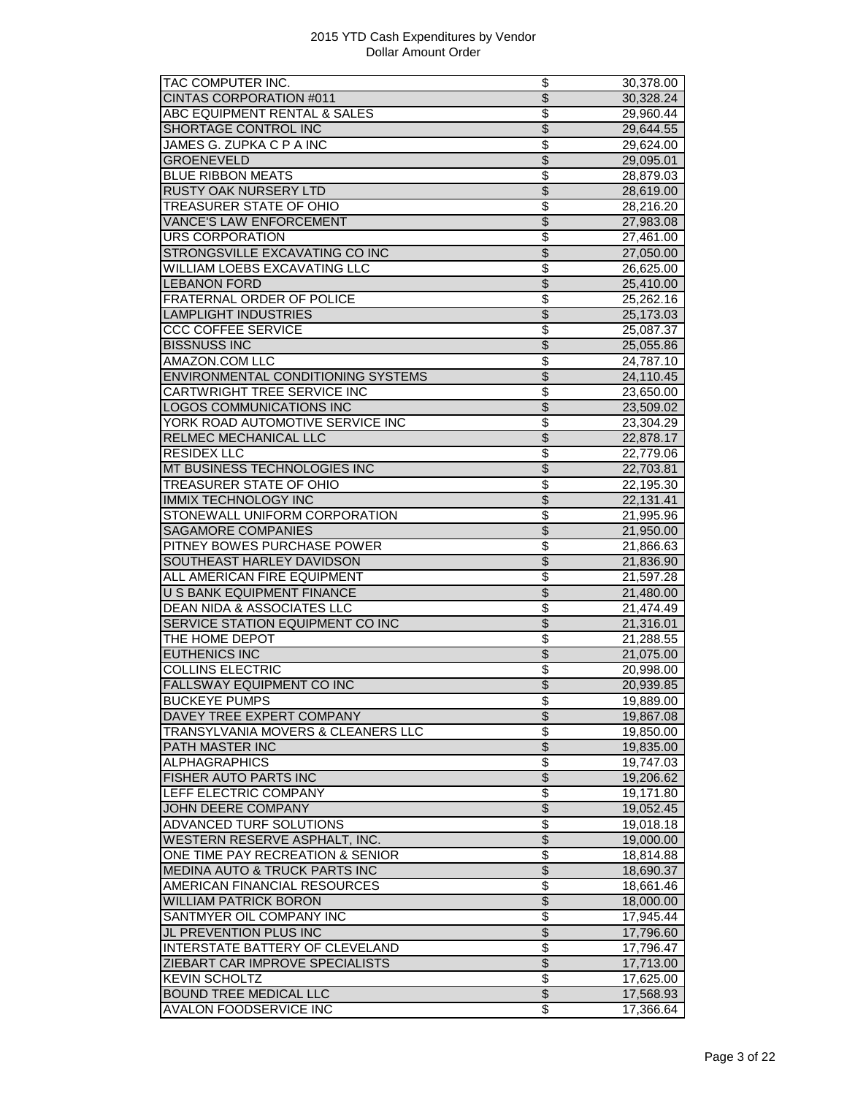| TAC COMPUTER INC.                        | \$                       | 30,378.00              |
|------------------------------------------|--------------------------|------------------------|
| <b>CINTAS CORPORATION #011</b>           | $\overline{\$}$          | 30,328.24              |
| ABC EQUIPMENT RENTAL & SALES             | \$                       | 29,960.44              |
| SHORTAGE CONTROL INC                     | $\overline{\mathcal{S}}$ | 29,644.55              |
| JAMES G. ZUPKA C P A INC                 | \$                       | 29,624.00              |
| <b>GROENEVELD</b>                        | $\overline{\$}$          | 29,095.01              |
| <b>BLUE RIBBON MEATS</b>                 | \$                       | 28,879.03              |
| RUSTY OAK NURSERY LTD                    | $\overline{\$}$          | 28,619.00              |
| TREASURER STATE OF OHIO                  | $\overline{\$}$          | 28,216.20              |
| <b>VANCE'S LAW ENFORCEMENT</b>           | $\overline{\mathcal{S}}$ | 27,983.08              |
| <b>URS CORPORATION</b>                   | \$                       | 27,461.00              |
| STRONGSVILLE EXCAVATING CO INC           | $\overline{\$}$          | 27,050.00              |
| <b>WILLIAM LOEBS EXCAVATING LLC</b>      | \$                       | 26,625.00              |
| <b>LEBANON FORD</b>                      | $\overline{\$}$          | 25,410.00              |
| FRATERNAL ORDER OF POLICE                | $\overline{\$}$          | 25,262.16              |
| <b>LAMPLIGHT INDUSTRIES</b>              | $\overline{\mathcal{S}}$ | 25,173.03              |
| <b>CCC COFFEE SERVICE</b>                | \$                       | 25,087.37              |
| <b>BISSNUSS INC</b>                      | $\overline{\$}$          | 25,055.86              |
| <b>AMAZON.COM LLC</b>                    | \$                       | 24,787.10              |
| ENVIRONMENTAL CONDITIONING SYSTEMS       | \$                       | 24,110.45              |
| CARTWRIGHT TREE SERVICE INC              | \$                       | 23,650.00              |
| <b>LOGOS COMMUNICATIONS INC</b>          | \$                       |                        |
|                                          |                          | 23,509.02              |
| YORK ROAD AUTOMOTIVE SERVICE INC         | \$                       | 23,304.29              |
| <b>RELMEC MECHANICAL LLC</b>             | $\overline{\mathcal{S}}$ | 22,878.17              |
| <b>RESIDEX LLC</b>                       | \$                       | 22,779.06              |
| MT BUSINESS TECHNOLOGIES INC             | $\overline{\$}$          | 22,703.81              |
| <b>TREASURER STATE OF OHIO</b>           | \$                       | 22,195.30              |
| <b>IMMIX TECHNOLOGY INC</b>              | \$                       | 22,131.41              |
| STONEWALL UNIFORM CORPORATION            | \$                       | 21,995.96              |
| <b>SAGAMORE COMPANIES</b>                | $\overline{\$}$          | 21,950.00              |
| PITNEY BOWES PURCHASE POWER              | \$                       | 21,866.63              |
| SOUTHEAST HARLEY DAVIDSON                | \$                       | 21,836.90              |
| ALL AMERICAN FIRE EQUIPMENT              | \$                       | 21,597.28              |
| <b>U S BANK EQUIPMENT FINANCE</b>        | $\overline{\$}$          | 21,480.00              |
| <b>DEAN NIDA &amp; ASSOCIATES LLC</b>    | \$                       | 21,474.49              |
| SERVICE STATION EQUIPMENT CO INC         | \$                       | 21,316.01              |
| THE HOME DEPOT                           | \$                       | 21,288.55              |
| <b>EUTHENICS INC</b>                     | $\overline{\mathcal{S}}$ | 21,075.00              |
| <b>COLLINS ELECTRIC</b>                  | \$                       | 20,998.00              |
| FALLSWAY EQUIPMENT CO INC                | $\overline{\$}$          | 20,939.85              |
| <b>BUCKEYE PUMPS</b>                     | $\overline{\$}$          | 19,889.00              |
| DAVEY TREE EXPERT COMPANY                | $\overline{\$}$          | 19,867.08              |
| TRANSYLVANIA MOVERS & CLEANERS LLC       | \$                       | 19,850.00              |
| PATH MASTER INC                          | \$                       | 19,835.00              |
| <b>ALPHAGRAPHICS</b>                     | \$                       | 19,747.03              |
| FISHER AUTO PARTS INC                    | $\overline{\mathcal{S}}$ | 19,206.62              |
| LEFF ELECTRIC COMPANY                    | $\overline{\$}$          | 19,171.80              |
| <b>JOHN DEERE COMPANY</b>                | \$                       | 19,052.45              |
| <b>ADVANCED TURF SOLUTIONS</b>           | \$                       | 19,018.18              |
| WESTERN RESERVE ASPHALT, INC.            | $\overline{\$}$          |                        |
| ONE TIME PAY RECREATION & SENIOR         | \$                       | 19,000.00<br>18,814.88 |
|                                          |                          |                        |
| <b>MEDINA AUTO &amp; TRUCK PARTS INC</b> | \$                       | 18,690.37              |
| AMERICAN FINANCIAL RESOURCES             | \$                       | 18,661.46              |
| <b>WILLIAM PATRICK BORON</b>             | $\overline{\$}$          | 18,000.00              |
| SANTMYER OIL COMPANY INC                 | \$                       | 17,945.44              |
| JL PREVENTION PLUS INC                   | $\overline{\$}$          | 17,796.60              |
| <b>INTERSTATE BATTERY OF CLEVELAND</b>   | \$                       | 17,796.47              |
| ZIEBART CAR IMPROVE SPECIALISTS          | $\overline{\$}$          | 17,713.00              |
| <b>KEVIN SCHOLTZ</b>                     | \$                       | 17,625.00              |
|                                          |                          |                        |
| <b>BOUND TREE MEDICAL LLC</b>            | $\overline{\$}$<br>\$    | 17,568.93              |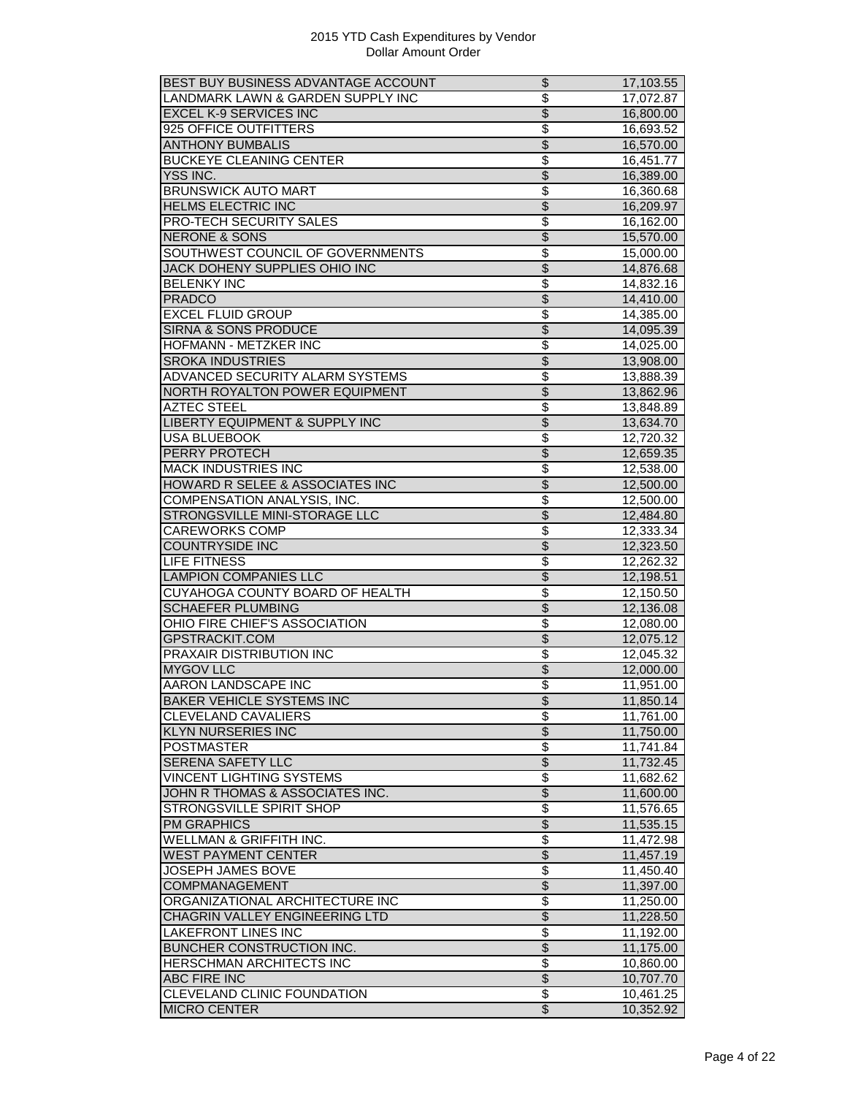| BEST BUY BUSINESS ADVANTAGE ACCOUNT       | \$                       | 17,103.55 |
|-------------------------------------------|--------------------------|-----------|
| LANDMARK LAWN & GARDEN SUPPLY INC         | $\overline{\$}$          | 17,072.87 |
| <b>EXCEL K-9 SERVICES INC</b>             | $\overline{\mathcal{S}}$ | 16,800.00 |
| 925 OFFICE OUTFITTERS                     | \$                       | 16,693.52 |
| <b>ANTHONY BUMBALIS</b>                   | $\overline{\$}$          | 16,570.00 |
| <b>BUCKEYE CLEANING CENTER</b>            | \$                       | 16,451.77 |
| YSS INC.                                  | $\overline{\$}$          | 16,389.00 |
| <b>BRUNSWICK AUTO MART</b>                | \$                       | 16,360.68 |
| <b>HELMS ELECTRIC INC</b>                 | $\overline{\$}$          | 16,209.97 |
|                                           |                          |           |
| <b>PRO-TECH SECURITY SALES</b>            | \$                       | 16,162.00 |
| <b>NERONE &amp; SONS</b>                  | $\overline{\$}$          | 15,570.00 |
| SOUTHWEST COUNCIL OF GOVERNMENTS          | $\overline{\$}$          | 15,000.00 |
| JACK DOHENY SUPPLIES OHIO INC             | \$                       | 14,876.68 |
| <b>BELENKY INC</b>                        | \$                       | 14,832.16 |
| <b>PRADCO</b>                             | \$                       | 14,410.00 |
| <b>EXCEL FLUID GROUP</b>                  | \$                       | 14,385.00 |
| <b>SIRNA &amp; SONS PRODUCE</b>           | $\overline{\mathcal{S}}$ | 14,095.39 |
| HOFMANN - METZKER INC                     | \$                       | 14,025.00 |
| <b>SROKA INDUSTRIES</b>                   | $\overline{\$}$          | 13,908.00 |
| <b>ADVANCED SECURITY ALARM SYSTEMS</b>    | $\overline{\$}$          | 13,888.39 |
| NORTH ROYALTON POWER EQUIPMENT            | $\overline{\$}$          | 13,862.96 |
| <b>AZTEC STEEL</b>                        | $\overline{\$}$          | 13,848.89 |
|                                           |                          |           |
| <b>LIBERTY EQUIPMENT &amp; SUPPLY INC</b> | $\overline{\$}$          | 13,634.70 |
| <b>USA BLUEBOOK</b>                       | \$                       | 12,720.32 |
| PERRY PROTECH                             | $\overline{\mathcal{S}}$ | 12,659.35 |
| <b>MACK INDUSTRIES INC</b>                | \$                       | 12,538.00 |
| HOWARD R SELEE & ASSOCIATES INC           | \$                       | 12,500.00 |
| <b>COMPENSATION ANALYSIS, INC.</b>        | \$                       | 12,500.00 |
| STRONGSVILLE MINI-STORAGE LLC             | $\overline{\$}$          | 12,484.80 |
| CAREWORKS COMP                            | \$                       | 12,333.34 |
| <b>COUNTRYSIDE INC</b>                    | $\overline{\mathcal{S}}$ | 12,323.50 |
| <b>LIFE FITNESS</b>                       | \$                       | 12,262.32 |
| <b>LAMPION COMPANIES LLC</b>              | $\overline{\$}$          | 12,198.51 |
| CUYAHOGA COUNTY BOARD OF HEALTH           | \$                       | 12,150.50 |
| <b>SCHAEFER PLUMBING</b>                  | \$                       | 12,136.08 |
| OHIO FIRE CHIEF'S ASSOCIATION             | $\overline{\$}$          |           |
|                                           |                          | 12,080.00 |
| GPSTRACKIT.COM                            | $\overline{\mathcal{S}}$ | 12,075.12 |
| PRAXAIR DISTRIBUTION INC                  | \$                       | 12,045.32 |
| <b>MYGOV LLC</b>                          | $\overline{\$}$          | 12,000.00 |
| AARON LANDSCAPE INC                       | \$                       | 11,951.00 |
| <b>BAKER VEHICLE SYSTEMS INC</b>          | \$                       | 11,850.14 |
| <b>CLEVELAND CAVALIERS</b>                | \$                       | 11,761.00 |
| <b>KLYN NURSERIES INC</b>                 | \$                       | 11,750.00 |
| <b>POSTMASTER</b>                         | $\overline{\$}$          | 11,741.84 |
| <b>SERENA SAFETY LLC</b>                  | $\overline{\$}$          | 11,732.45 |
| <b>VINCENT LIGHTING SYSTEMS</b>           | \$                       | 11,682.62 |
| JOHN R THOMAS & ASSOCIATES INC.           | \$                       | 11,600.00 |
| STRONGSVILLE SPIRIT SHOP                  | \$                       | 11,576.65 |
| <b>PM GRAPHICS</b>                        | \$                       | 11,535.15 |
|                                           |                          |           |
| <b>WELLMAN &amp; GRIFFITH INC.</b>        | \$                       | 11,472.98 |
| <b>WEST PAYMENT CENTER</b>                | \$                       | 11,457.19 |
| <b>JOSEPH JAMES BOVE</b>                  | \$                       | 11,450.40 |
| COMPMANAGEMENT                            | $\overline{\$}$          | 11,397.00 |
| ORGANIZATIONAL ARCHITECTURE INC           | \$                       | 11,250.00 |
| CHAGRIN VALLEY ENGINEERING LTD            | \$                       | 11,228.50 |
| <b>LAKEFRONT LINES INC</b>                | $\overline{\$}$          | 11,192.00 |
| <b>BUNCHER CONSTRUCTION INC.</b>          | $\overline{\$}$          | 11,175.00 |
| HERSCHMAN ARCHITECTS INC                  | $\overline{\mathbf{S}}$  | 10,860.00 |
| ABC FIRE INC                              | $\overline{\$}$          | 10,707.70 |
| CLEVELAND CLINIC FOUNDATION               | \$                       | 10,461.25 |
| <b>MICRO CENTER</b>                       | $\overline{\$}$          | 10,352.92 |
|                                           |                          |           |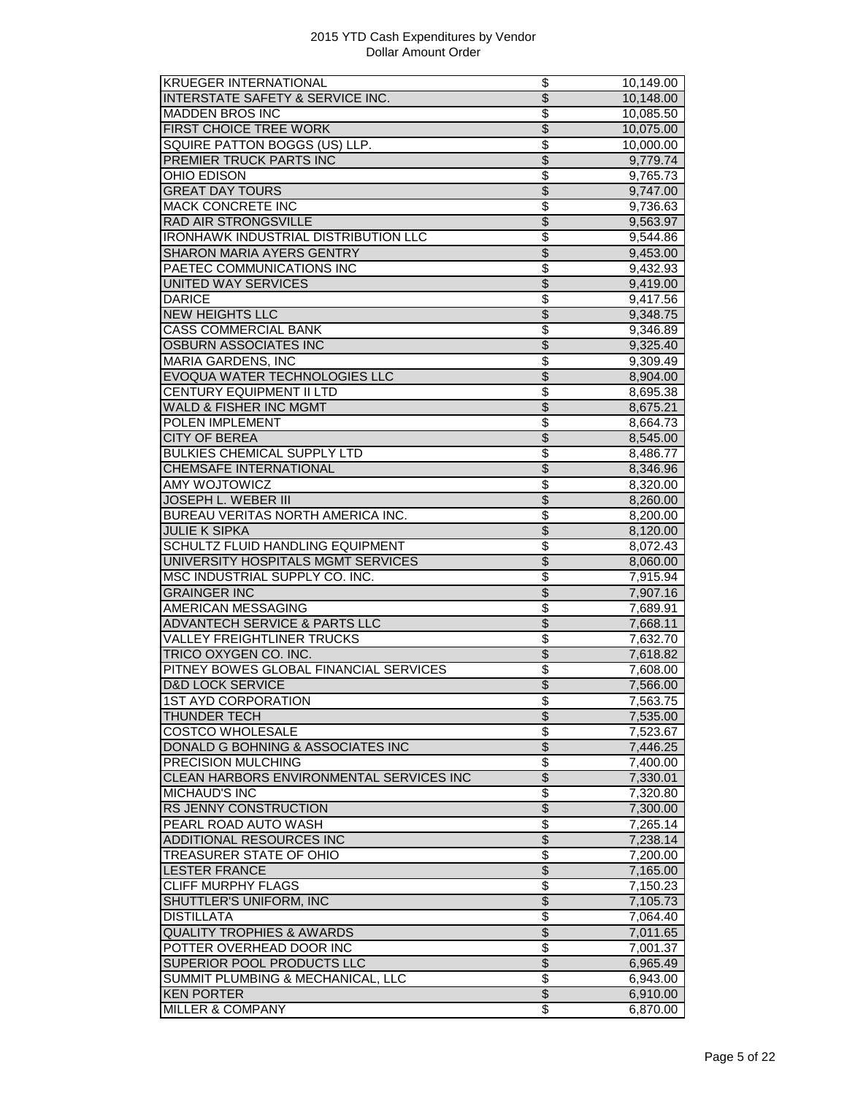| <b>KRUEGER INTERNATIONAL</b>                | \$                       | 10,149.00 |
|---------------------------------------------|--------------------------|-----------|
| INTERSTATE SAFETY & SERVICE INC.            | $\overline{\$}$          | 10,148.00 |
| <b>MADDEN BROS INC</b>                      | \$                       | 10,085.50 |
| <b>FIRST CHOICE TREE WORK</b>               | $\overline{\$}$          | 10,075.00 |
| SQUIRE PATTON BOGGS (US) LLP.               | \$                       | 10,000.00 |
| <b>PREMIER TRUCK PARTS INC</b>              | \$                       | 9,779.74  |
| OHIO EDISON                                 | \$                       | 9,765.73  |
| <b>GREAT DAY TOURS</b>                      | $\overline{\$}$          | 9,747.00  |
| <b>MACK CONCRETE INC</b>                    | $\overline{\$}$          | 9,736.63  |
| <b>RAD AIR STRONGSVILLE</b>                 | $\overline{\$}$          | 9,563.97  |
| <b>IRONHAWK INDUSTRIAL DISTRIBUTION LLC</b> | $\overline{\$}$          |           |
|                                             | $\overline{\$}$          | 9,544.86  |
| SHARON MARIA AYERS GENTRY                   | \$                       | 9,453.00  |
| PAETEC COMMUNICATIONS INC                   |                          | 9,432.93  |
| <b>UNITED WAY SERVICES</b>                  | \$                       | 9,419.00  |
| <b>DARICE</b>                               | $\overline{\$}$          | 9,417.56  |
| <b>NEW HEIGHTS LLC</b>                      | $\overline{\mathcal{S}}$ | 9,348.75  |
| <b>CASS COMMERCIAL BANK</b>                 | \$                       | 9,346.89  |
| <b>OSBURN ASSOCIATES INC</b>                | $\overline{\$}$          | 9,325.40  |
| <b>MARIA GARDENS, INC</b>                   | \$                       | 9,309.49  |
| EVOQUA WATER TECHNOLOGIES LLC               | $\overline{\$}$          | 8,904.00  |
| CENTURY EQUIPMENT II LTD                    | \$                       | 8,695.38  |
| <b>WALD &amp; FISHER INC MGMT</b>           | $\overline{\$}$          | 8,675.21  |
| POLEN IMPLEMENT                             | $\overline{\$}$          | 8,664.73  |
| <b>CITY OF BEREA</b>                        | $\overline{\mathcal{S}}$ | 8,545.00  |
| BULKIES CHEMICAL SUPPLY LTD                 | \$                       | 8,486.77  |
| <b>CHEMSAFE INTERNATIONAL</b>               | \$                       | 8,346.96  |
| <b>AMY WOJTOWICZ</b>                        | \$                       | 8,320.00  |
| <b>JOSEPH L. WEBER III</b>                  | \$                       | 8,260.00  |
| BUREAU VERITAS NORTH AMERICA INC.           | \$                       | 8,200.00  |
| <b>JULIE K SIPKA</b>                        | $\overline{\$}$          | 8,120.00  |
| SCHULTZ FLUID HANDLING EQUIPMENT            | \$                       | 8,072.43  |
| UNIVERSITY HOSPITALS MGMT SERVICES          | $\overline{\mathcal{S}}$ | 8,060.00  |
| MSC INDUSTRIAL SUPPLY CO. INC.              | \$                       | 7,915.94  |
| <b>GRAINGER INC</b>                         | $\overline{\$}$          | 7,907.16  |
| <b>AMERICAN MESSAGING</b>                   | \$                       | 7,689.91  |
| <b>ADVANTECH SERVICE &amp; PARTS LLC</b>    | \$                       | 7,668.11  |
| <b>VALLEY FREIGHTLINER TRUCKS</b>           | \$                       | 7,632.70  |
| TRICO OXYGEN CO. INC.                       | $\overline{\mathcal{S}}$ | 7,618.82  |
| PITNEY BOWES GLOBAL FINANCIAL SERVICES      |                          |           |
|                                             | \$<br>$\overline{\$}$    | 7,608.00  |
| <b>D&amp;D LOCK SERVICE</b>                 |                          | 7,566.00  |
| <b>1ST AYD CORPORATION</b>                  | $\overline{\$}$          | 7,563.75  |
| <b>THUNDER TECH</b>                         | $\overline{\$}$          | 7,535.00  |
| <b>COSTCO WHOLESALE</b>                     | \$                       | 7,523.67  |
| DONALD G BOHNING & ASSOCIATES INC           | \$                       | 7,446.25  |
| <b>PRECISION MULCHING</b>                   | \$                       | 7,400.00  |
| CLEAN HARBORS ENVIRONMENTAL SERVICES INC    | $\overline{\mathcal{S}}$ | 7,330.01  |
| <b>MICHAUD'S INC</b>                        | \$                       | 7,320.80  |
| RS JENNY CONSTRUCTION                       | \$                       | 7,300.00  |
| PEARL ROAD AUTO WASH                        | \$                       | 7,265.14  |
| <b>ADDITIONAL RESOURCES INC</b>             | $\overline{\$}$          | 7,238.14  |
| <b>TREASURER STATE OF OHIO</b>              | $\overline{\$}$          | 7,200.00  |
| <b>LESTER FRANCE</b>                        | $\overline{\$}$          | 7,165.00  |
| <b>CLIFF MURPHY FLAGS</b>                   | \$                       | 7,150.23  |
| <b>SHUTTLER'S UNIFORM, INC</b>              | $\overline{\$}$          | 7,105.73  |
| <b>DISTILLATA</b>                           | \$                       | 7,064.40  |
| <b>QUALITY TROPHIES &amp; AWARDS</b>        | \$                       | 7,011.65  |
| POTTER OVERHEAD DOOR INC                    | \$                       | 7,001.37  |
| SUPERIOR POOL PRODUCTS LLC                  | $\overline{\$}$          | 6,965.49  |
| SUMMIT PLUMBING & MECHANICAL, LLC           | \$                       | 6,943.00  |
| <b>KEN PORTER</b>                           | $\overline{\$}$          | 6,910.00  |
| <b>MILLER &amp; COMPANY</b>                 | $\overline{\mathcal{S}}$ | 6,870.00  |
|                                             |                          |           |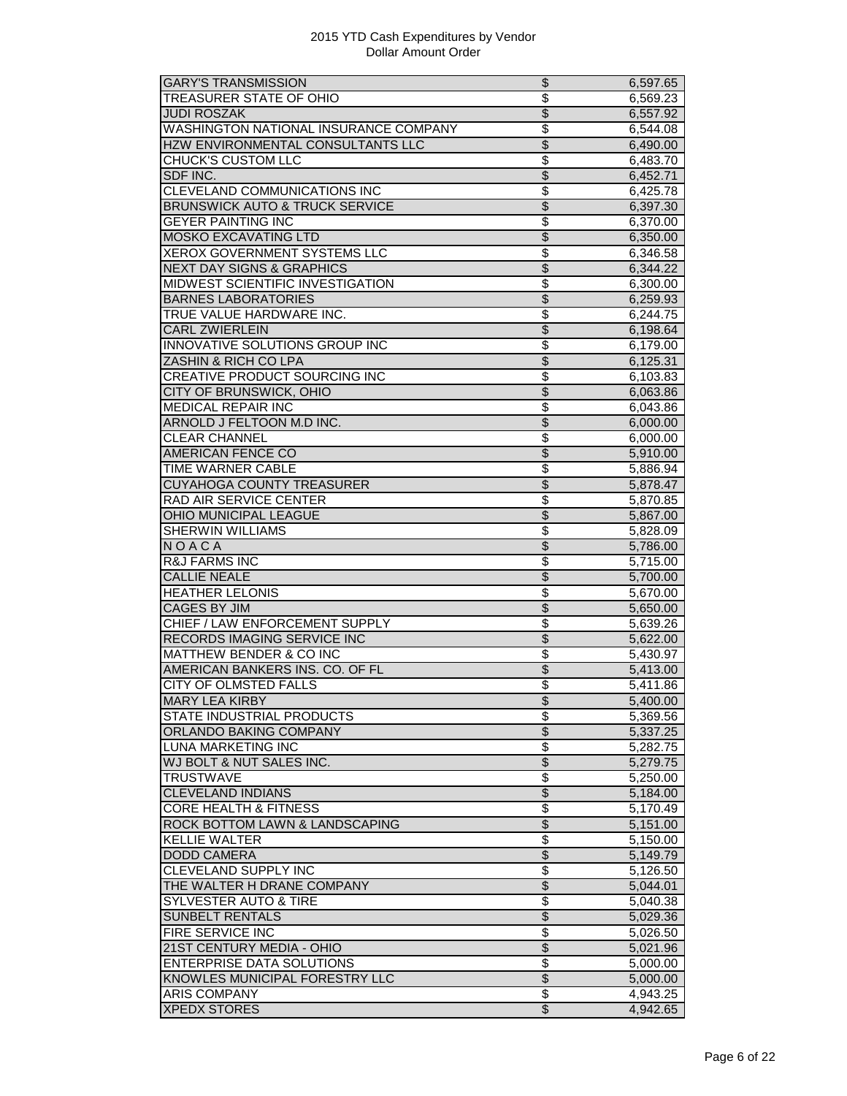| <b>GARY'S TRANSMISSION</b>                 | \$                                          | 6,597.65 |
|--------------------------------------------|---------------------------------------------|----------|
| TREASURER STATE OF OHIO                    | $\overline{\$}$                             | 6,569.23 |
| <b>JUDI ROSZAK</b>                         | $\overline{\mathcal{S}}$                    | 6,557.92 |
| WASHINGTON NATIONAL INSURANCE COMPANY      | \$                                          | 6,544.08 |
| HZW ENVIRONMENTAL CONSULTANTS LLC          | $\overline{\$}$                             | 6,490.00 |
| <b>CHUCK'S CUSTOM LLC</b>                  | \$                                          | 6,483.70 |
| SDF INC.                                   | \$                                          | 6,452.71 |
| CLEVELAND COMMUNICATIONS INC               | $\overline{\mathcal{S}}$                    | 6,425.78 |
| <b>BRUNSWICK AUTO &amp; TRUCK SERVICE</b>  | $\overline{\$}$                             | 6,397.30 |
| <b>GEYER PAINTING INC</b>                  | \$                                          | 6,370.00 |
| <b>MOSKO EXCAVATING LTD</b>                | $\overline{\$}$                             | 6,350.00 |
| XEROX GOVERNMENT SYSTEMS LLC               | \$                                          | 6,346.58 |
|                                            | $\overline{\$}$                             |          |
| <b>NEXT DAY SIGNS &amp; GRAPHICS</b>       |                                             | 6,344.22 |
| MIDWEST SCIENTIFIC INVESTIGATION           | \$                                          | 6,300.00 |
| <b>BARNES LABORATORIES</b>                 | $\overline{\$}$                             | 6,259.93 |
| TRUE VALUE HARDWARE INC.                   | $\overline{\mathcal{S}}$                    | 6,244.75 |
| <b>CARL ZWIERLEIN</b>                      | $\overline{\mathcal{S}}$                    | 6,198.64 |
| <b>INNOVATIVE SOLUTIONS GROUP INC</b>      | \$                                          | 6,179.00 |
| ZASHIN & RICH CO LPA                       | \$                                          | 6,125.31 |
| CREATIVE PRODUCT SOURCING INC              | $\overline{\$}$                             | 6,103.83 |
| CITY OF BRUNSWICK, OHIO                    | $\overline{\$}$                             | 6,063.86 |
| <b>MEDICAL REPAIR INC</b>                  | $\overline{\$}$                             | 6,043.86 |
| ARNOLD J FELTOON M.D INC.                  | $\overline{\$}$                             | 6,000.00 |
| <b>CLEAR CHANNEL</b>                       | $\overline{\$}$                             | 6,000.00 |
| <b>AMERICAN FENCE CO</b>                   | $\overline{\mathcal{S}}$                    | 5,910.00 |
| <b>TIME WARNER CABLE</b>                   | $\overline{\$}$                             | 5,886.94 |
| <b>CUYAHOGA COUNTY TREASURER</b>           | \$                                          | 5,878.47 |
| <b>RAD AIR SERVICE CENTER</b>              | \$                                          | 5,870.85 |
|                                            | $\overline{\$}$                             |          |
| OHIO MUNICIPAL LEAGUE                      |                                             | 5,867.00 |
| SHERWIN WILLIAMS                           | $\overline{\$}$                             | 5,828.09 |
| NOACA                                      | $\overline{\$}$                             | 5,786.00 |
| <b>R&amp;J FARMS INC</b>                   | \$                                          | 5,715.00 |
| <b>CALLIE NEALE</b>                        | $\overline{\$}$                             | 5,700.00 |
| <b>HEATHER LELONIS</b>                     | $\overline{\$}$                             | 5,670.00 |
| <b>CAGES BY JIM</b>                        | $\overline{\$}$                             | 5,650.00 |
| CHIEF / LAW ENFORCEMENT SUPPLY             | $\overline{\$}$                             | 5,639.26 |
| RECORDS IMAGING SERVICE INC                | $\overline{\$}$                             | 5,622.00 |
| <b>MATTHEW BENDER &amp; CO INC</b>         | \$                                          | 5,430.97 |
| AMERICAN BANKERS INS. CO. OF FL            | $\overline{\$}$                             | 5,413.00 |
| CITY OF OLMSTED FALLS                      | $\overline{\$}$                             | 5.411.86 |
| <b>MARY LEA KIRBY</b>                      | Φ                                           | 5,400.00 |
| STATE INDUSTRIAL PRODUCTS                  | \$                                          | 5,369.56 |
| <b>ORLANDO BAKING COMPANY</b>              | $\overline{\$}$                             | 5,337.25 |
| <b>LUNA MARKETING INC</b>                  | $\overline{\$}$                             | 5,282.75 |
| WJ BOLT & NUT SALES INC.                   | $\overline{\$}$                             | 5,279.75 |
| <b>TRUSTWAVE</b>                           | \$                                          | 5,250.00 |
| <b>CLEVELAND INDIANS</b>                   | $\overline{\$}$                             | 5,184.00 |
| <b>CORE HEALTH &amp; FITNESS</b>           | $\overline{\$}$                             | 5,170.49 |
| ROCK BOTTOM LAWN & LANDSCAPING             | $\overline{\$}$                             | 5,151.00 |
| <b>KELLIE WALTER</b>                       | $\overline{\mathbf{S}}$                     | 5,150.00 |
| <b>DODD CAMERA</b>                         | $\overline{\$}$                             | 5,149.79 |
|                                            |                                             |          |
| CLEVELAND SUPPLY INC                       | $\overline{\$}$                             | 5,126.50 |
| THE WALTER H DRANE COMPANY                 | $\overline{\$}$                             | 5,044.01 |
| <b>SYLVESTER AUTO &amp; TIRE</b>           | \$                                          | 5,040.38 |
| <b>SUNBELT RENTALS</b>                     | $\overline{\$}$                             | 5,029.36 |
| <b>FIRE SERVICE INC</b>                    | \$                                          | 5,026.50 |
| 21ST CENTURY MEDIA - OHIO                  | $\overline{\$}$                             | 5,021.96 |
| <b>ENTERPRISE DATA SOLUTIONS</b>           | $\overline{\mathcal{S}}$                    | 5,000.00 |
| KNOWLES MUNICIPAL FORESTRY LLC             |                                             |          |
|                                            | $\overline{\$}$                             | 5,000.00 |
| <b>ARIS COMPANY</b><br><b>XPEDX STORES</b> | $\overline{\mathcal{E}}$<br>$\overline{\$}$ | 4,943.25 |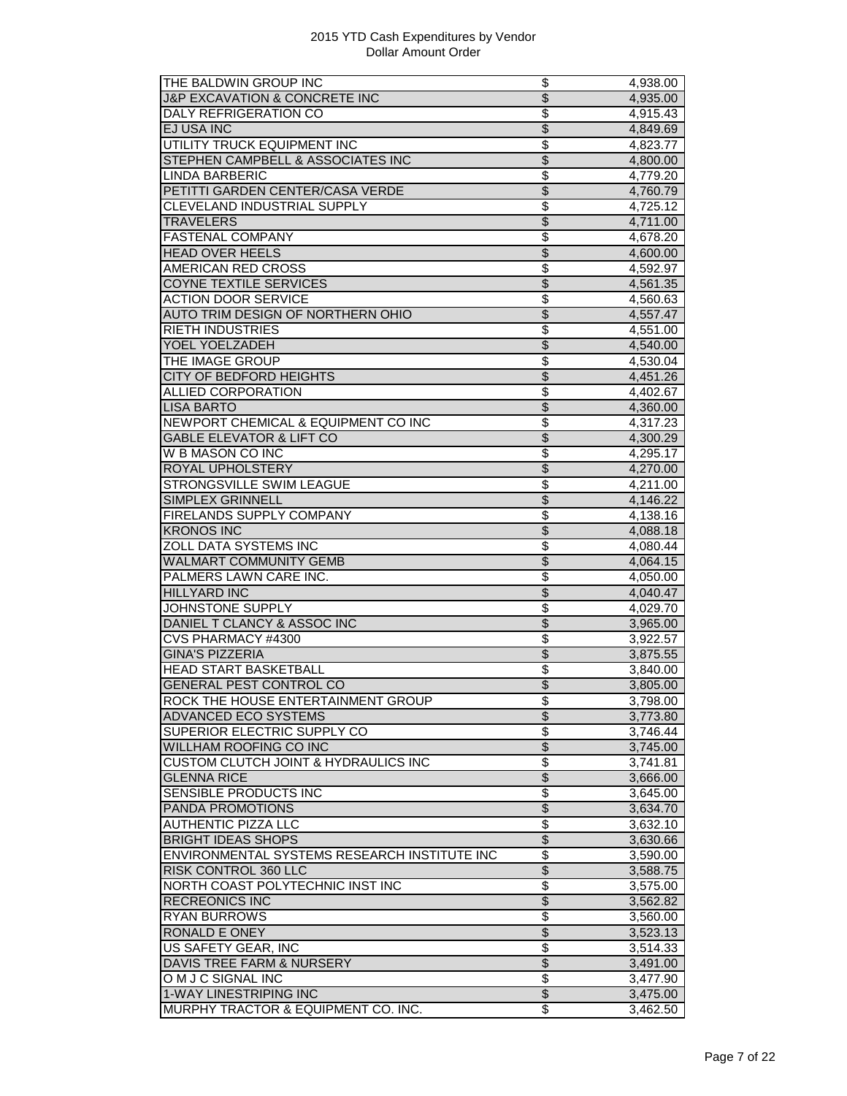| THE BALDWIN GROUP INC                                                | \$                       | 4,938.00              |
|----------------------------------------------------------------------|--------------------------|-----------------------|
| <b>J&amp;P EXCAVATION &amp; CONCRETE INC</b>                         | $\overline{\$}$          | 4,935.00              |
| <b>DALY REFRIGERATION CO</b>                                         | \$                       | 4,915.43              |
| EJ USA INC                                                           | \$                       | 4,849.69              |
| UTILITY TRUCK EQUIPMENT INC                                          | $\overline{\$}$          | 4,823.77              |
| STEPHEN CAMPBELL & ASSOCIATES INC                                    | $\overline{\$}$          | 4,800.00              |
| <b>LINDA BARBERIC</b>                                                | \$                       | 4,779.20              |
| PETITTI GARDEN CENTER/CASA VERDE                                     | $\overline{\$}$          | 4,760.79              |
| <b>CLEVELAND INDUSTRIAL SUPPLY</b>                                   | \$                       | 4,725.12              |
| <b>TRAVELERS</b>                                                     | $\overline{\$}$          | 4,711.00              |
| <b>FASTENAL COMPANY</b>                                              | \$                       | 4,678.20              |
| <b>HEAD OVER HEELS</b>                                               | $\overline{\mathcal{S}}$ | 4,600.00              |
| AMERICAN RED CROSS                                                   | \$                       | 4,592.97              |
| <b>COYNE TEXTILE SERVICES</b>                                        | \$                       | 4,561.35              |
| <b>ACTION DOOR SERVICE</b>                                           | \$                       | 4,560.63              |
|                                                                      | $\overline{\$}$          |                       |
| AUTO TRIM DESIGN OF NORTHERN OHIO                                    | $\overline{\$}$          | 4,557.47              |
| <b>RIETH INDUSTRIES</b>                                              |                          | 4,551.00              |
| YOEL YOELZADEH                                                       | $\overline{\mathcal{S}}$ | 4,540.00              |
| THE IMAGE GROUP                                                      | \$                       | 4,530.04              |
| CITY OF BEDFORD HEIGHTS                                              | $\overline{\$}$          | 4,451.26              |
| <b>ALLIED CORPORATION</b>                                            | $\overline{\$}$          | 4,402.67              |
| <b>LISA BARTO</b>                                                    | \$                       | 4,360.00              |
| NEWPORT CHEMICAL & EQUIPMENT CO INC                                  | $\overline{\$}$          | 4,317.23              |
| <b>GABLE ELEVATOR &amp; LIFT CO</b>                                  | $\overline{\$}$          | 4,300.29              |
| W B MASON CO INC                                                     | \$                       | 4,295.17              |
| ROYAL UPHOLSTERY                                                     | $\overline{\$}$          | 4,270.00              |
| STRONGSVILLE SWIM LEAGUE                                             | \$                       | 4,211.00              |
| <b>SIMPLEX GRINNELL</b>                                              | \$                       | $\overline{4,}146.22$ |
| FIRELANDS SUPPLY COMPANY                                             | \$                       | 4,138.16              |
| <b>KRONOS INC</b>                                                    | \$                       | 4,088.18              |
| <b>ZOLL DATA SYSTEMS INC</b>                                         | \$                       | 4,080.44              |
| <b>WALMART COMMUNITY GEMB</b>                                        | $\overline{\mathcal{S}}$ | 4,064.15              |
| PALMERS LAWN CARE INC.                                               | \$                       | 4,050.00              |
| <b>HILLYARD INC</b>                                                  | $\overline{\$}$          | 4,040.47              |
| JOHNSTONE SUPPLY                                                     | \$                       | 4,029.70              |
| DANIEL T CLANCY & ASSOC INC                                          | \$                       | 3,965.00              |
| CVS PHARMACY #4300                                                   | \$                       | 3,922.57              |
| <b>GINA'S PIZZERIA</b>                                               | $\overline{\$}$          | 3,875.55              |
| <b>HEAD START BASKETBALL</b>                                         | \$                       | 3,840.00              |
|                                                                      |                          |                       |
| <b>GENERAL PEST CONTROL CO</b>                                       | $\overline{\$}$          | 3,805.00              |
| ROCK THE HOUSE ENTERTAINMENT GROUP                                   | \$                       | 3,798.00              |
| ADVANCED ECO SYSTEMS                                                 | $\overline{\$}$          | 3,773.80              |
| SUPERIOR ELECTRIC SUPPLY CO                                          | \$                       | 3,746.44              |
| <b>WILLHAM ROOFING CO INC</b>                                        | \$                       | 3,745.00              |
| <b>CUSTOM CLUTCH JOINT &amp; HYDRAULICS INC</b>                      | $\overline{\$}$          | 3,741.81              |
| <b>GLENNA RICE</b>                                                   | \$                       | 3,666.00              |
| SENSIBLE PRODUCTS INC                                                | \$                       | 3,645.00              |
| PANDA PROMOTIONS                                                     | \$                       | 3,634.70              |
| AUTHENTIC PIZZA LLC                                                  | \$                       | 3,632.10              |
| <b>BRIGHT IDEAS SHOPS</b>                                            | $\overline{\$}$          | 3,630.66              |
| ENVIRONMENTAL SYSTEMS RESEARCH INSTITUTE INC                         | \$                       | 3,590.00              |
| <b>RISK CONTROL 360 LLC</b>                                          | \$                       | 3,588.75              |
| NORTH COAST POLYTECHNIC INST INC                                     | \$                       | 3,575.00              |
| <b>RECREONICS INC</b>                                                | \$                       | 3,562.82              |
| <b>RYAN BURROWS</b>                                                  | \$                       | 3,560.00              |
| <b>RONALD E ONEY</b>                                                 | \$                       | 3,523.13              |
| <b>US SAFETY GEAR, INC</b>                                           | $\overline{\$}$          | 3,514.33              |
| DAVIS TREE FARM & NURSERY                                            | $\overline{\$}$          | 3,491.00              |
| O M J C SIGNAL INC                                                   | $\overline{\$}$          |                       |
|                                                                      |                          | 3,477.90              |
|                                                                      |                          |                       |
| <b>1-WAY LINESTRIPING INC</b><br>MURPHY TRACTOR & EQUIPMENT CO. INC. | $\overline{\$}$<br>\$    | 3,475.00<br>3,462.50  |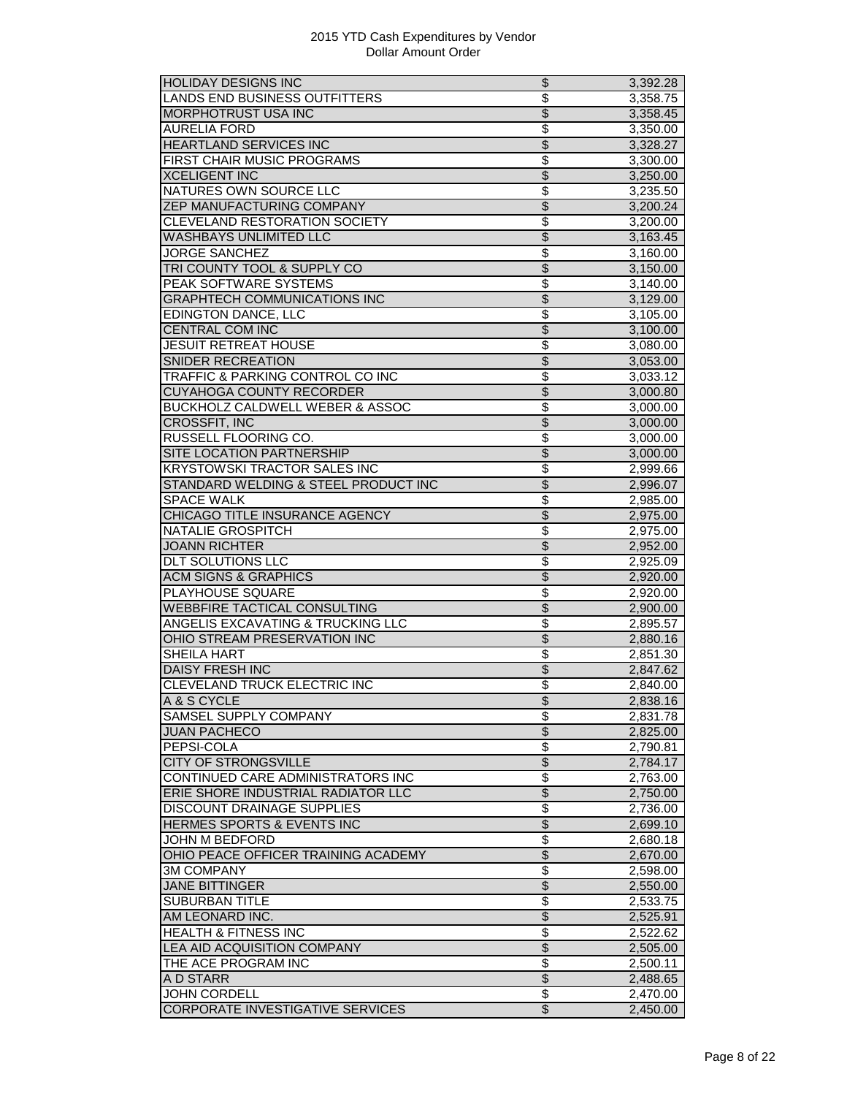| <b>HOLIDAY DESIGNS INC</b>                   | \$                       | 3,392.28 |
|----------------------------------------------|--------------------------|----------|
| LANDS END BUSINESS OUTFITTERS                | $\overline{\$}$          | 3,358.75 |
| <b>MORPHOTRUST USA INC</b>                   | $\overline{\$}$          | 3,358.45 |
| <b>AURELIA FORD</b>                          | \$                       | 3,350.00 |
| <b>HEARTLAND SERVICES INC</b>                | $\overline{\$}$          | 3,328.27 |
| FIRST CHAIR MUSIC PROGRAMS                   | \$                       | 3,300.00 |
| <b>XCELIGENT INC</b>                         | \$                       | 3,250.00 |
| <b>NATURES OWN SOURCE LLC</b>                | \$                       | 3,235.50 |
| ZEP MANUFACTURING COMPANY                    | \$                       | 3,200.24 |
| CLEVELAND RESTORATION SOCIETY                | $\overline{\$}$          |          |
|                                              |                          | 3,200.00 |
| <b>WASHBAYS UNLIMITED LLC</b>                | $\overline{\$}$          | 3,163.45 |
| <b>JORGE SANCHEZ</b>                         | \$                       | 3,160.00 |
| TRI COUNTY TOOL & SUPPLY CO                  | $\overline{\$}$          | 3,150.00 |
| PEAK SOFTWARE SYSTEMS                        | \$                       | 3,140.00 |
| <b>GRAPHTECH COMMUNICATIONS INC</b>          | $\overline{\$}$          | 3,129.00 |
| <b>EDINGTON DANCE, LLC</b>                   | \$                       | 3,105.00 |
| <b>CENTRAL COM INC</b>                       | $\overline{\$}$          | 3,100.00 |
| <b>JESUIT RETREAT HOUSE</b>                  | \$                       | 3,080.00 |
| <b>SNIDER RECREATION</b>                     | $\overline{\$}$          | 3,053.00 |
| TRAFFIC & PARKING CONTROL CO INC             | \$                       | 3,033.12 |
| CUYAHOGA COUNTY RECORDER                     | $\overline{\$}$          | 3,000.80 |
| <b>BUCKHOLZ CALDWELL WEBER &amp; ASSOC</b>   | \$                       | 3,000.00 |
| <b>CROSSFIT, INC</b>                         | \$                       | 3,000.00 |
| <b>RUSSELL FLOORING CO.</b>                  | \$                       | 3,000.00 |
| SITE LOCATION PARTNERSHIP                    | $\overline{\mathcal{S}}$ | 3,000.00 |
| <b>KRYSTOWSKI TRACTOR SALES INC</b>          | \$                       |          |
|                                              | \$                       | 2,999.66 |
| STANDARD WELDING & STEEL PRODUCT INC         |                          | 2,996.07 |
| <b>SPACE WALK</b>                            | \$                       | 2,985.00 |
| CHICAGO TITLE INSURANCE AGENCY               | $\overline{\$}$          | 2,975.00 |
| <b>NATALIE GROSPITCH</b>                     | $\overline{\$}$          | 2,975.00 |
| <b>JOANN RICHTER</b>                         | $\overline{\$}$          | 2,952.00 |
| <b>DLT SOLUTIONS LLC</b>                     | \$                       | 2,925.09 |
| <b>ACM SIGNS &amp; GRAPHICS</b>              | \$                       | 2,920.00 |
| PLAYHOUSE SQUARE                             | \$                       | 2,920.00 |
| <b>WEBBFIRE TACTICAL CONSULTING</b>          | $\overline{\$}$          | 2,900.00 |
| <b>ANGELIS EXCAVATING &amp; TRUCKING LLC</b> | \$                       | 2,895.57 |
| OHIO STREAM PRESERVATION INC                 | $\overline{\$}$          | 2,880.16 |
| <b>SHEILA HART</b>                           | \$                       | 2,851.30 |
| <b>DAISY FRESH INC</b>                       | $\overline{\$}$          | 2,847.62 |
| CLEVELAND TRUCK ELECTRIC INC                 | \$                       | 2,840.00 |
| A & S CYCLE                                  | \$                       | 2,838.16 |
| SAMSEL SUPPLY COMPANY                        | \$                       | 2,831.78 |
| <b>JUAN PACHECO</b>                          | $\overline{\$}$          | 2,825.00 |
| PEPSI-COLA                                   | \$                       | 2,790.81 |
| <b>CITY OF STRONGSVILLE</b>                  | \$                       | 2,784.17 |
| CONTINUED CARE ADMINISTRATORS INC            | \$                       |          |
|                                              |                          | 2,763.00 |
| ERIE SHORE INDUSTRIAL RADIATOR LLC           | $\overline{\mathcal{S}}$ | 2,750.00 |
| <b>DISCOUNT DRAINAGE SUPPLIES</b>            | $\overline{\$}$          | 2,736.00 |
| HERMES SPORTS & EVENTS INC                   | $\overline{\$}$          | 2,699.10 |
| JOHN M BEDFORD                               | $\overline{\$}$          | 2,680.18 |
| OHIO PEACE OFFICER TRAINING ACADEMY          | \$                       | 2,670.00 |
| <b>3M COMPANY</b>                            | $\overline{\$}$          | 2,598.00 |
| <b>JANE BITTINGER</b>                        | $\overline{\$}$          | 2,550.00 |
| <b>SUBURBAN TITLE</b>                        | \$                       | 2,533.75 |
| AM LEONARD INC.                              | \$                       | 2,525.91 |
| <b>HEALTH &amp; FITNESS INC</b>              | \$                       | 2,522.62 |
| <b>LEA AID ACQUISITION COMPANY</b>           | \$                       | 2,505.00 |
| THE ACE PROGRAM INC                          | \$                       | 2,500.11 |
| A D STARR                                    | $\overline{\$}$          | 2,488.65 |
| <b>JOHN CORDELL</b>                          | \$                       | 2,470.00 |
| CORPORATE INVESTIGATIVE SERVICES             | $\overline{\$}$          | 2,450.00 |
|                                              |                          |          |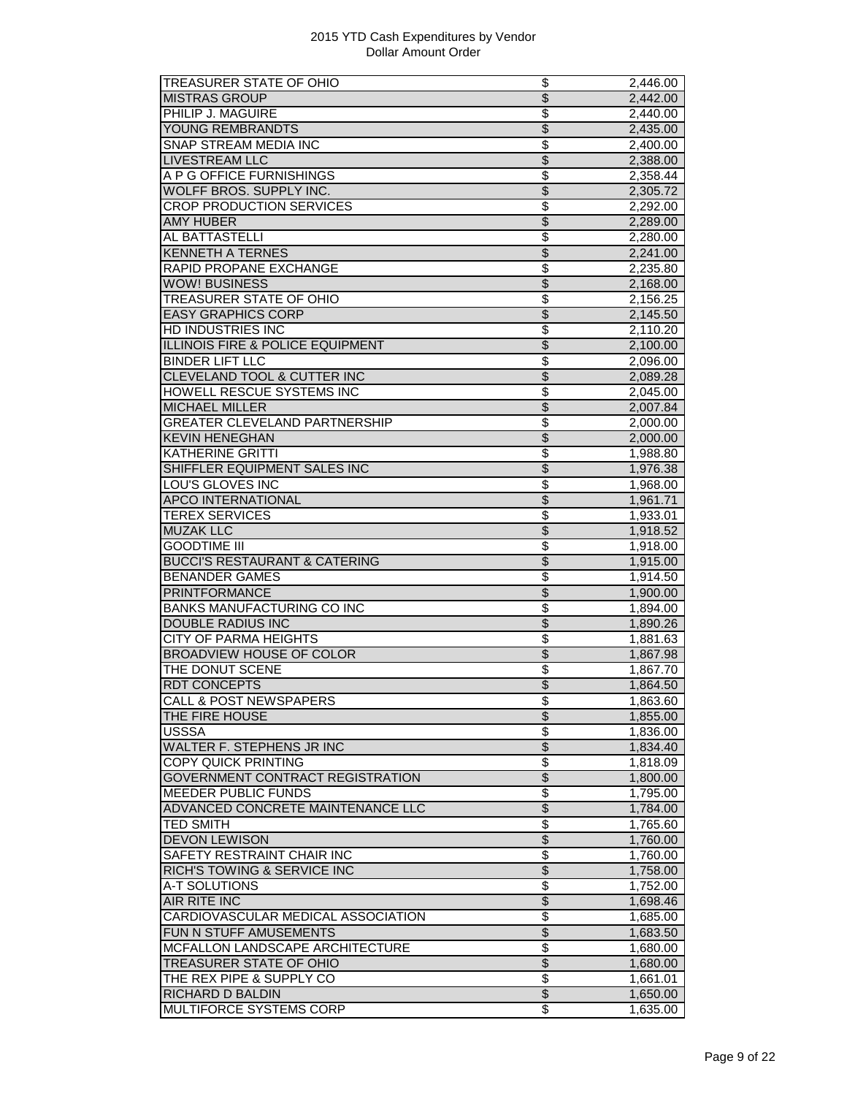| TREASURER STATE OF OHIO                     | \$                                          | 2,446.00             |
|---------------------------------------------|---------------------------------------------|----------------------|
| <b>MISTRAS GROUP</b>                        | $\overline{\$}$                             | 2,442.00             |
| PHILIP J. MAGUIRE                           | \$                                          | 2,440.00             |
| YOUNG REMBRANDTS                            | $\overline{\$}$                             | 2,435.00             |
| SNAP STREAM MEDIA INC                       | \$                                          | 2,400.00             |
| <b>LIVESTREAM LLC</b>                       | $\overline{\$}$                             | 2,388.00             |
| A P G OFFICE FURNISHINGS                    | $\overline{\$}$                             | 2,358.44             |
| WOLFF BROS. SUPPLY INC.                     | $\overline{\$}$                             | 2,305.72             |
| <b>CROP PRODUCTION SERVICES</b>             | \$                                          | 2,292.00             |
| <b>AMY HUBER</b>                            | $\overline{\$}$                             | 2,289.00             |
| AL BATTASTELLI                              | $\overline{\$}$                             | 2,280.00             |
| <b>KENNETH A TERNES</b>                     | $\overline{\$}$                             |                      |
|                                             | \$                                          | 2,241.00             |
| RAPID PROPANE EXCHANGE                      |                                             | 2,235.80             |
| <b>WOW! BUSINESS</b>                        | $\overline{\$}$                             | 2,168.00             |
| <b>TREASURER STATE OF OHIO</b>              | $\overline{\$}$                             | 2,156.25             |
| <b>EASY GRAPHICS CORP</b>                   | \$                                          | 2,145.50             |
| <b>HD INDUSTRIES INC</b>                    | \$                                          | 2,110.20             |
| <b>ILLINOIS FIRE &amp; POLICE EQUIPMENT</b> | $\overline{\$}$                             | 2,100.00             |
| <b>BINDER LIFT LLC</b>                      | \$                                          | 2,096.00             |
| CLEVELAND TOOL & CUTTER INC                 | $\overline{\$}$                             | 2,089.28             |
| HOWELL RESCUE SYSTEMS INC                   | $\overline{\mathcal{S}}$                    | 2,045.00             |
| <b>MICHAEL MILLER</b>                       | $\overline{\$}$                             | 2,007.84             |
| <b>GREATER CLEVELAND PARTNERSHIP</b>        | $\overline{\$}$                             | 2,000.00             |
| <b>KEVIN HENEGHAN</b>                       | $\overline{\$}$                             | 2,000.00             |
| KATHERINE GRITTI                            | \$                                          | 1,988.80             |
| SHIFFLER EQUIPMENT SALES INC                | $\overline{\$}$                             | 1,976.38             |
| <b>LOU'S GLOVES INC</b>                     | \$                                          | 1,968.00             |
| <b>APCO INTERNATIONAL</b>                   | $\overline{\$}$                             | 1,961.71             |
| <b>TEREX SERVICES</b>                       | $\overline{\mathcal{S}}$                    | 1,933.01             |
| <b>MUZAK LLC</b>                            | $\overline{\$}$                             | 1,918.52             |
| <b>GOODTIME III</b>                         | \$                                          | 1,918.00             |
| <b>BUCCI'S RESTAURANT &amp; CATERING</b>    | $\overline{\$}$                             | 1,915.00             |
| <b>BENANDER GAMES</b>                       | \$                                          | 1,914.50             |
| <b>PRINTFORMANCE</b>                        | $\overline{\$}$                             | 1,900.00             |
| <b>BANKS MANUFACTURING CO INC</b>           | \$                                          | 1,894.00             |
| <b>DOUBLE RADIUS INC</b>                    | $\overline{\$}$                             | 1,890.26             |
| <b>CITY OF PARMA HEIGHTS</b>                | \$                                          | 1,881.63             |
|                                             |                                             |                      |
| <b>BROADVIEW HOUSE OF COLOR</b>             | $\overline{\theta}$                         | 1,867.98             |
| THE DONUT SCENE                             | \$                                          | 1,867.70             |
| <b>RDT CONCEPTS</b>                         | \$                                          | 1,864.50             |
| <b>CALL &amp; POST NEWSPAPERS</b>           | \$                                          | 1,863.60             |
| THE FIRE HOUSE                              | $\overline{\mathcal{S}}$                    | 1,855.00             |
| <b>USSSA</b>                                | \$                                          | 1.836.00             |
| <b>WALTER F. STEPHENS JR INC</b>            | $\overline{\$}$                             | 1,834.40             |
| <b>COPY QUICK PRINTING</b>                  | \$                                          | 1,818.09             |
|                                             |                                             | 1,800.00             |
| GOVERNMENT CONTRACT REGISTRATION            | $\frac{1}{2}$                               |                      |
| <b>MEEDER PUBLIC FUNDS</b>                  | \$                                          | 1,795.00             |
| ADVANCED CONCRETE MAINTENANCE LLC           | \$                                          | 1,784.00             |
| <b>TED SMITH</b>                            |                                             |                      |
|                                             | \$                                          | 1,765.60             |
| <b>DEVON LEWISON</b>                        | $\overline{\$}$                             | 1,760.00             |
| SAFETY RESTRAINT CHAIR INC                  | $\overline{\$}$                             | 1,760.00             |
| <b>RICH'S TOWING &amp; SERVICE INC</b>      | $\overline{\$}$                             | 1,758.00             |
| A-T SOLUTIONS                               | \$                                          | 1,752.00             |
| AIR RITE INC                                | $\overline{\$}$                             | 1,698.46             |
| CARDIOVASCULAR MEDICAL ASSOCIATION          | \$                                          | 1,685.00             |
| FUN N STUFF AMUSEMENTS                      | $\overline{\$}$                             | 1,683.50             |
| MCFALLON LANDSCAPE ARCHITECTURE             | $\overline{\$}$                             | 1,680.00             |
| TREASURER STATE OF OHIO                     | $\overline{\$}$                             | 1,680.00             |
| THE REX PIPE & SUPPLY CO                    | \$                                          | 1,661.01             |
| RICHARD D BALDIN<br>MULTIFORCE SYSTEMS CORP | $\overline{\$}$<br>$\overline{\mathcal{E}}$ | 1,650.00<br>1,635.00 |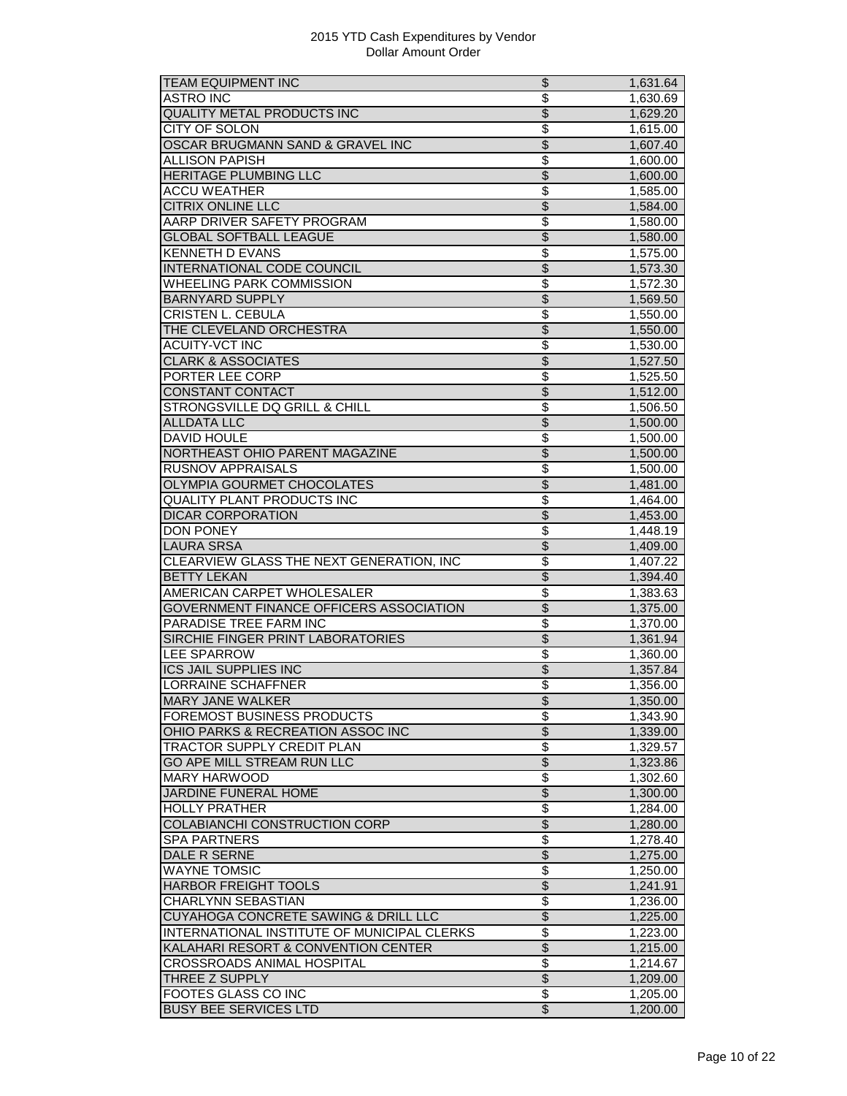| <b>TEAM EQUIPMENT INC</b>                           | \$                       | 1,631.64              |
|-----------------------------------------------------|--------------------------|-----------------------|
| <b>ASTRO INC</b>                                    | $\overline{\$}$          | 1,630.69              |
| <b>QUALITY METAL PRODUCTS INC</b>                   | $\overline{\mathcal{E}}$ | 1,629.20              |
| CITY OF SOLON                                       | \$                       | 1,615.00              |
| OSCAR BRUGMANN SAND & GRAVEL INC                    | $\overline{\$}$          | 1,607.40              |
| ALLISON PAPISH                                      | \$                       | 1,600.00              |
| <b>HERITAGE PLUMBING LLC</b>                        | \$                       | 1,600.00              |
| <b>ACCU WEATHER</b>                                 | $\overline{\mathcal{S}}$ | 1,585.00              |
| <b>CITRIX ONLINE LLC</b>                            | $\overline{\$}$          | 1,584.00              |
| AARP DRIVER SAFETY PROGRAM                          | $\overline{\mathcal{S}}$ | 1,580.00              |
| <b>GLOBAL SOFTBALL LEAGUE</b>                       | $\overline{\$}$          | 1,580.00              |
| <b>KENNETH D EVANS</b>                              | $\overline{\mathcal{S}}$ | 1,575.00              |
| INTERNATIONAL CODE COUNCIL                          | $\overline{\$}$          | 1,573.30              |
| <b>WHEELING PARK COMMISSION</b>                     | \$                       | 1,572.30              |
| <b>BARNYARD SUPPLY</b>                              | $\overline{\$}$          | 1,569.50              |
| CRISTEN L. CEBULA                                   | $\overline{\mathcal{S}}$ | 1,550.00              |
| THE CLEVELAND ORCHESTRA                             | $\overline{\mathcal{S}}$ | 1,550.00              |
| <b>ACUITY-VCT INC</b>                               | \$                       | 1,530.00              |
| <b>CLARK &amp; ASSOCIATES</b>                       | $\overline{\$}$          | 1,527.50              |
| PORTER LEE CORP                                     | \$                       | 1,525.50              |
| CONSTANT CONTACT                                    | $\overline{\$}$          | 1,512.00              |
| STRONGSVILLE DQ GRILL & CHILL                       | $\overline{\$}$          |                       |
| <b>ALLDATA LLC</b>                                  | $\overline{\$}$          | 1,506.50              |
|                                                     |                          | 1,500.00              |
| <b>DAVID HOULE</b>                                  | $\overline{\$}$          | 1,500.00              |
| NORTHEAST OHIO PARENT MAGAZINE                      | \$                       | 1,500.00              |
| <b>RUSNOV APPRAISALS</b>                            | $\overline{\$}$          | 1,500.00              |
| <b>OLYMPIA GOURMET CHOCOLATES</b>                   | \$                       | 1,481.00              |
| <b>QUALITY PLANT PRODUCTS INC</b>                   | \$                       | 1,464.00              |
| <b>DICAR CORPORATION</b>                            | $\overline{\$}$          | 1,453.00              |
| <b>DON PONEY</b>                                    | $\overline{\$}$          | 1,448.19              |
| <b>LAURA SRSA</b>                                   | $\overline{\$}$          | 1,409.00              |
| CLEARVIEW GLASS THE NEXT GENERATION, INC            | \$                       | 1,407.22              |
| <b>BETTY LEKAN</b>                                  | $\overline{\$}$          | 1,394.40              |
| AMERICAN CARPET WHOLESALER                          | \$                       | 1,383.63              |
| GOVERNMENT FINANCE OFFICERS ASSOCIATION             | \$                       | 1,375.00              |
| PARADISE TREE FARM INC                              | $\overline{\$}$          | 1,370.00              |
| SIRCHIE FINGER PRINT LABORATORIES                   | $\overline{\$}$          | 1,361.94              |
| <b>LEE SPARROW</b>                                  | \$                       | 1,360.00              |
| <b>ICS JAIL SUPPLIES INC</b>                        | $\overline{\mathcal{G}}$ | 1,357.84              |
| <b>LORRAINE SCHAFFNER</b>                           | $\overline{\$}$          | 1,356.00              |
| <b>MARY JANE WALKER</b>                             | Φ                        | 1,350.00              |
| FOREMOST BUSINESS PRODUCTS                          | \$                       | $\overline{1,}343.90$ |
| OHIO PARKS & RECREATION ASSOC INC                   | $\overline{\$}$          | 1,339.00              |
| TRACTOR SUPPLY CREDIT PLAN                          | $\overline{\$}$          | 1,329.57              |
| GO APE MILL STREAM RUN LLC                          | $\overline{\$}$          | 1,323.86              |
| MARY HARWOOD                                        | \$                       | 1,302.60              |
| JARDINE FUNERAL HOME                                | $\overline{\$}$          | 1,300.00              |
| <b>HOLLY PRATHER</b>                                | $\overline{\$}$          | 1,284.00              |
| COLABIANCHI CONSTRUCTION CORP                       | $\overline{\$}$          | 1,280.00              |
| <b>SPA PARTNERS</b>                                 | $\overline{\mathbf{S}}$  | 1,278.40              |
| DALE R SERNE                                        | $\overline{\$}$          | 1,275.00              |
| <b>WAYNE TOMSIC</b>                                 | $\overline{\$}$          | 1,250.00              |
| <b>HARBOR FREIGHT TOOLS</b>                         | $\overline{\mathcal{E}}$ | 1,241.91              |
| CHARLYNN SEBASTIAN                                  | \$                       | 1,236.00              |
| CUYAHOGA CONCRETE SAWING & DRILL LLC                | $\overline{\$}$          | 1,225.00              |
| INTERNATIONAL INSTITUTE OF MUNICIPAL CLERKS         | \$                       | 1,223.00              |
| KALAHARI RESORT & CONVENTION CENTER                 | \$                       | 1,215.00              |
|                                                     | $\overline{\mathcal{S}}$ |                       |
| <b>CROSSROADS ANIMAL HOSPITAL</b><br>THREE Z SUPPLY | $\overline{\$}$          | 1,214.67<br>1,209.00  |
| <b>FOOTES GLASS CO INC</b>                          | $\overline{\mathcal{S}}$ |                       |
|                                                     |                          | 1,205.00              |
| <b>BUSY BEE SERVICES LTD</b>                        | $\overline{\mathcal{E}}$ | 1,200.00              |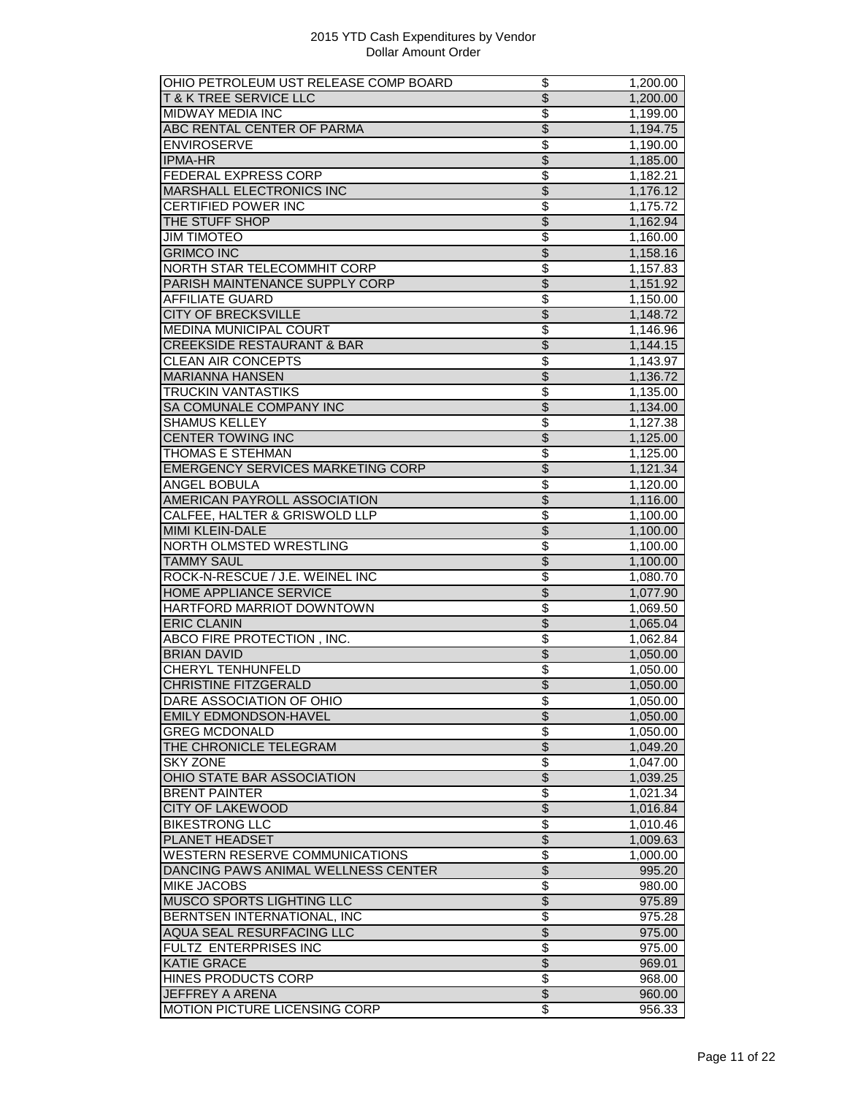| OHIO PETROLEUM UST RELEASE COMP BOARD    | \$                                 | 1,200.00 |
|------------------------------------------|------------------------------------|----------|
| <b>T&amp;K TREE SERVICE LLC</b>          | $\overline{\$}$                    | 1,200.00 |
| MIDWAY MEDIA INC                         | \$                                 | 1,199.00 |
| ABC RENTAL CENTER OF PARMA               | $\overline{\$}$                    | 1,194.75 |
| <b>ENVIROSERVE</b>                       | $\overline{\$}$                    | 1,190.00 |
| <b>IPMA-HR</b>                           | $\overline{\$}$                    | 1,185.00 |
| <b>FEDERAL EXPRESS CORP</b>              | $\overline{\$}$                    | 1,182.21 |
| <b>MARSHALL ELECTRONICS INC</b>          | $\overline{\mathcal{S}}$           | 1,176.12 |
| <b>CERTIFIED POWER INC</b>               | \$                                 | 1,175.72 |
| THE STUFF SHOP                           | \$                                 | 1,162.94 |
| <b>JIM TIMOTEO</b>                       | \$                                 | 1,160.00 |
| <b>GRIMCO INC</b>                        | $\overline{\$}$                    | 1,158.16 |
| NORTH STAR TELECOMMHIT CORP              | \$                                 | 1,157.83 |
|                                          | $\overline{\$}$                    |          |
| PARISH MAINTENANCE SUPPLY CORP           |                                    | 1,151.92 |
| <b>AFFILIATE GUARD</b>                   | $\overline{\$}$                    | 1,150.00 |
| <b>CITY OF BRECKSVILLE</b>               | \$                                 | 1,148.72 |
| MEDINA MUNICIPAL COURT                   | \$                                 | 1,146.96 |
| <b>CREEKSIDE RESTAURANT &amp; BAR</b>    | $\overline{\$}$                    | 1,144.15 |
| <b>CLEAN AIR CONCEPTS</b>                | \$                                 | 1,143.97 |
| <b>MARIANNA HANSEN</b>                   | $\overline{\$}$                    | 1,136.72 |
| <b>TRUCKIN VANTASTIKS</b>                | $\overline{\mathcal{S}}$           | 1,135.00 |
| SA COMUNALE COMPANY INC                  | $\overline{\$}$                    | 1,134.00 |
| <b>SHAMUS KELLEY</b>                     | \$                                 | 1,127.38 |
| <b>CENTER TOWING INC</b>                 | $\overline{\mathcal{S}}$           | 1,125.00 |
| THOMAS E STEHMAN                         | \$                                 | 1,125.00 |
| <b>EMERGENCY SERVICES MARKETING CORP</b> | $\overline{\$}$                    | 1,121.34 |
| ANGEL BOBULA                             | \$                                 | 1,120.00 |
| AMERICAN PAYROLL ASSOCIATION             | $\overline{\$}$                    | 1,116.00 |
| CALFEE, HALTER & GRISWOLD LLP            | $\overline{\mathcal{S}}$           | 1,100.00 |
| MIMI KLEIN-DALE                          | $\overline{\$}$                    | 1,100.00 |
| NORTH OLMSTED WRESTLING                  | \$                                 | 1,100.00 |
| <b>TAMMY SAUL</b>                        | $\overline{\$}$                    | 1,100.00 |
| ROCK-N-RESCUE / J.E. WEINEL INC          | \$                                 | 1,080.70 |
| <b>HOME APPLIANCE SERVICE</b>            | $\overline{\$}$                    | 1,077.90 |
| HARTFORD MARRIOT DOWNTOWN                | \$                                 | 1,069.50 |
| <b>ERIC CLANIN</b>                       | $\overline{\$}$                    | 1,065.04 |
|                                          | \$                                 |          |
| ABCO FIRE PROTECTION, INC.               |                                    | 1,062.84 |
| <b>BRIAN DAVID</b>                       | $\overline{\theta}$                | 1,050.00 |
| CHERYL TENHUNFELD                        | \$                                 | 1,050.00 |
| CHRISTINE FITZGERALD                     | \$                                 | 1,050.00 |
| DARE ASSOCIATION OF OHIO                 | \$                                 | 1,050.00 |
| <b>EMILY EDMONDSON-HAVEL</b>             | $\overline{\mathcal{S}}$           | 1,050.00 |
| <b>GREG MCDONALD</b>                     | \$                                 | 1,050.00 |
| THE CHRONICLE TELEGRAM                   | $\overline{\$}$                    | 1,049.20 |
| <b>SKY ZONE</b>                          | $\overline{\mathcal{E}}$           | 1,047.00 |
| OHIO STATE BAR ASSOCIATION               | $\frac{1}{2}$                      | 1,039.25 |
| <b>BRENT PAINTER</b>                     | $\overline{\$}$                    | 1,021.34 |
| <b>CITY OF LAKEWOOD</b>                  | \$                                 | 1,016.84 |
| <b>BIKESTRONG LLC</b>                    | \$                                 | 1,010.46 |
| <b>PLANET HEADSET</b>                    | $\overline{\$}$                    | 1,009.63 |
| <b>WESTERN RESERVE COMMUNICATIONS</b>    | $\overline{\$}$                    | 1,000.00 |
| DANCING PAWS ANIMAL WELLNESS CENTER      | $\overline{\$}$                    | 995.20   |
| <b>MIKE JACOBS</b>                       | $\overline{\boldsymbol{\epsilon}}$ | 980.00   |
| MUSCO SPORTS LIGHTING LLC                | $\overline{\mathcal{L}}$           | 975.89   |
| BERNTSEN INTERNATIONAL, INC              | \$                                 | 975.28   |
| AQUA SEAL RESURFACING LLC                | $\overline{\$}$                    | 975.00   |
| <b>FULTZ ENTERPRISES INC</b>             | $\overline{\$}$                    | 975.00   |
| <b>KATIE GRACE</b>                       | $\overline{\$}$                    | 969.01   |
| <b>HINES PRODUCTS CORP</b>               | $\overline{\mathcal{E}}$           | 968.00   |
| JEFFREY A ARENA                          | $\boldsymbol{\theta}$              |          |
|                                          |                                    | 960.00   |
| MOTION PICTURE LICENSING CORP            | \$                                 | 956.33   |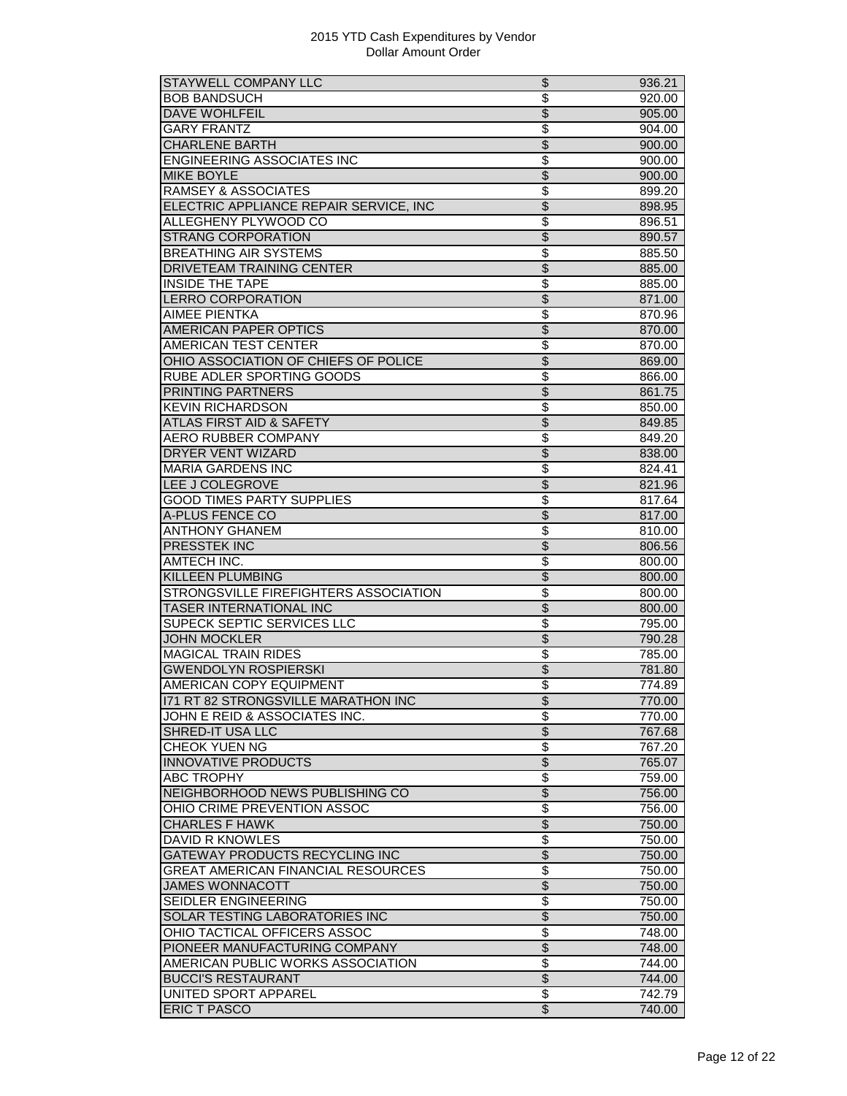| STAYWELL COMPANY LLC                      | \$                       | 936.21 |
|-------------------------------------------|--------------------------|--------|
| <b>BOB BANDSUCH</b>                       | \$                       | 920.00 |
| <b>DAVE WOHLFEIL</b>                      | $\overline{\mathcal{S}}$ | 905.00 |
| <b>GARY FRANTZ</b>                        | \$                       | 904.00 |
| <b>CHARLENE BARTH</b>                     | $\overline{\$}$          | 900.00 |
| <b>ENGINEERING ASSOCIATES INC</b>         | \$                       | 900.00 |
| <b>MIKE BOYLE</b>                         | $\overline{\$}$          | 900.00 |
| <b>RAMSEY &amp; ASSOCIATES</b>            | $\overline{\mathcal{S}}$ | 899.20 |
| ELECTRIC APPLIANCE REPAIR SERVICE, INC    | $\overline{\$}$          | 898.95 |
| ALLEGHENY PLYWOOD CO                      | \$                       | 896.51 |
| <b>STRANG CORPORATION</b>                 | \$                       | 890.57 |
| <b>BREATHING AIR SYSTEMS</b>              | \$                       | 885.50 |
| DRIVETEAM TRAINING CENTER                 | \$                       | 885.00 |
| <b>INSIDE THE TAPE</b>                    | \$                       | 885.00 |
| <b>LERRO CORPORATION</b>                  | $\overline{\$}$          | 871.00 |
| AIMEE PIENTKA                             | $\overline{\mathcal{S}}$ | 870.96 |
| <b>AMERICAN PAPER OPTICS</b>              | $\overline{\mathcal{S}}$ | 870.00 |
|                                           |                          |        |
| AMERICAN TEST CENTER                      | \$                       | 870.00 |
| OHIO ASSOCIATION OF CHIEFS OF POLICE      | $\overline{\$}$          | 869.00 |
| RUBE ADLER SPORTING GOODS                 | \$                       | 866.00 |
| PRINTING PARTNERS                         | $\overline{\$}$          | 861.75 |
| <b>KEVIN RICHARDSON</b>                   | $\overline{\$}$          | 850.00 |
| <b>ATLAS FIRST AID &amp; SAFETY</b>       | $\overline{\$}$          | 849.85 |
| <b>AERO RUBBER COMPANY</b>                | \$                       | 849.20 |
| DRYER VENT WIZARD                         | \$                       | 838.00 |
| <b>MARIA GARDENS INC</b>                  | $\overline{\$}$          | 824.41 |
| LEE J COLEGROVE                           | $\overline{\$}$          | 821.96 |
| <b>GOOD TIMES PARTY SUPPLIES</b>          | \$                       | 817.64 |
| A-PLUS FENCE CO                           | $\overline{\$}$          | 817.00 |
| <b>ANTHONY GHANEM</b>                     | $\overline{\$}$          | 810.00 |
| PRESSTEK INC                              | $\overline{\$}$          | 806.56 |
| AMTECH INC.                               | \$                       | 800.00 |
| KILLEEN PLUMBING                          | $\overline{\mathcal{S}}$ | 800.00 |
| STRONGSVILLE FIREFIGHTERS ASSOCIATION     | \$                       | 800.00 |
| TASER INTERNATIONAL INC                   | $\overline{\$}$          | 800.00 |
| <b>SUPECK SEPTIC SERVICES LLC</b>         | \$                       | 795.00 |
| <b>JOHN MOCKLER</b>                       | $\overline{\$}$          | 790.28 |
| <b>MAGICAL TRAIN RIDES</b>                | \$                       | 785.00 |
| <b>GWENDOLYN ROSPIERSKI</b>               | $\overline{\mathcal{S}}$ | 781.80 |
| AMERICAN COPY EQUIPMENT                   | $\overline{\$}$          | 774.89 |
|                                           |                          |        |
| 171 RT 82 STRONGSVILLE MARATHON INC       | $\overline{\$}$          | 770.00 |
| JOHN E REID & ASSOCIATES INC.             | \$                       | 770.00 |
| SHRED-IT USA LLC                          | $\overline{\$}$          | 767.68 |
| <b>CHEOK YUEN NG</b>                      | $\overline{\$}$          | 767.20 |
| <b>INNOVATIVE PRODUCTS</b>                | $\overline{\$}$          | 765.07 |
| ABC TROPHY                                | \$                       | 759.00 |
| NEIGHBORHOOD NEWS PUBLISHING CO           | $\overline{\$}$          | 756.00 |
| OHIO CRIME PREVENTION ASSOC               | $\overline{\$}$          | 756.00 |
| <b>CHARLES F HAWK</b>                     | $\overline{\$}$          | 750.00 |
| DAVID R KNOWLES                           | $\overline{\mathbf{S}}$  | 750.00 |
| <b>GATEWAY PRODUCTS RECYCLING INC</b>     | $\overline{\$}$          | 750.00 |
| <b>GREAT AMERICAN FINANCIAL RESOURCES</b> | $\overline{\$}$          | 750.00 |
| <b>JAMES WONNACOTT</b>                    | $\overline{\mathcal{E}}$ | 750.00 |
| SEIDLER ENGINEERING                       | \$                       | 750.00 |
| SOLAR TESTING LABORATORIES INC            | $\overline{\$}$          | 750.00 |
| OHIO TACTICAL OFFICERS ASSOC              | \$                       | 748.00 |
| PIONEER MANUFACTURING COMPANY             | $\overline{\$}$          | 748.00 |
| AMERICAN PUBLIC WORKS ASSOCIATION         | \$                       | 744.00 |
| <b>BUCCI'S RESTAURANT</b>                 | $\overline{\$}$          | 744.00 |
| UNITED SPORT APPAREL                      | $\overline{\mathcal{E}}$ |        |
|                                           |                          | 742.79 |
| <b>ERIC T PASCO</b>                       | $\overline{\mathcal{E}}$ | 740.00 |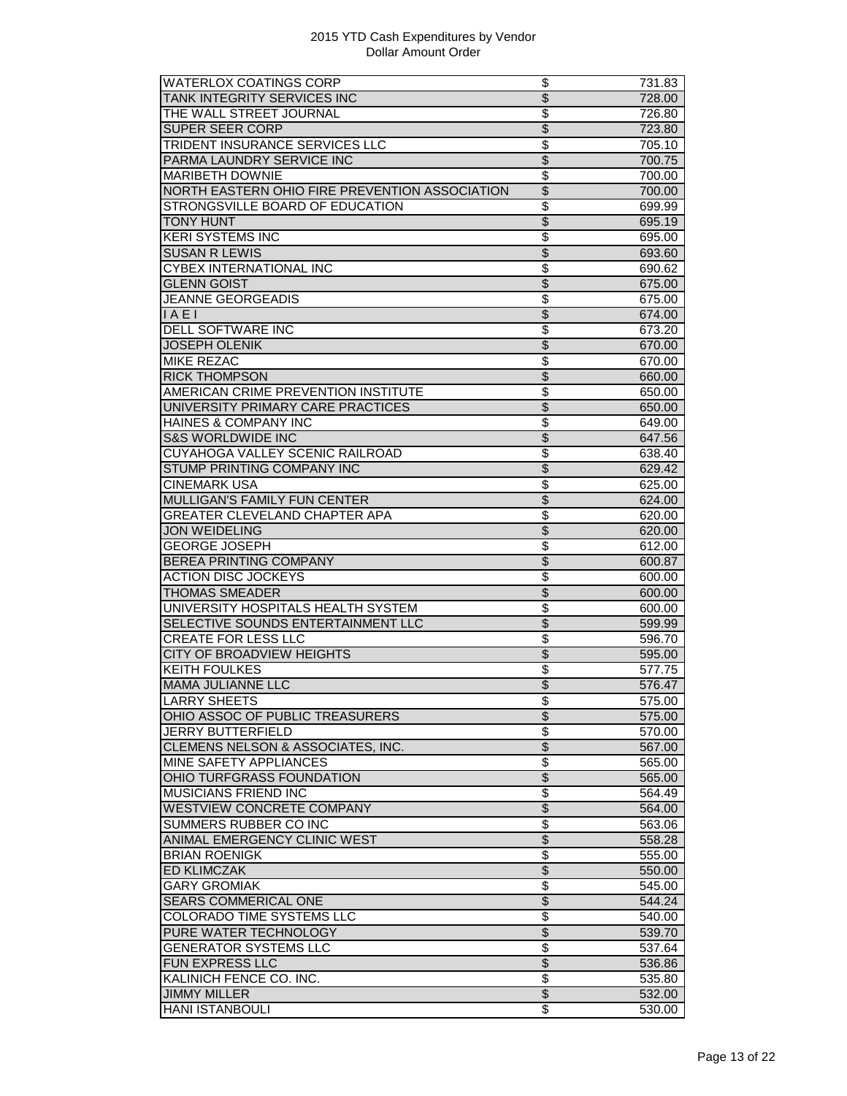| <b>WATERLOX COATINGS CORP</b>                  | \$                       | 731.83 |
|------------------------------------------------|--------------------------|--------|
| TANK INTEGRITY SERVICES INC                    | \$                       | 728.00 |
| THE WALL STREET JOURNAL                        | \$                       | 726.80 |
| SUPER SEER CORP                                | $\overline{\mathcal{S}}$ | 723.80 |
| <b>TRIDENT INSURANCE SERVICES LLC</b>          | \$                       | 705.10 |
| PARMA LAUNDRY SERVICE INC                      | \$                       | 700.75 |
| <b>MARIBETH DOWNIE</b>                         | \$                       | 700.00 |
| NORTH EASTERN OHIO FIRE PREVENTION ASSOCIATION | $\overline{\$}$          | 700.00 |
| STRONGSVILLE BOARD OF EDUCATION                | $\overline{\$}$          | 699.99 |
| <b>TONY HUNT</b>                               | $\overline{\$}$          | 695.19 |
| <b>KERI SYSTEMS INC</b>                        | $\overline{\$}$          | 695.00 |
| <b>SUSAN R LEWIS</b>                           | $\overline{\mathcal{S}}$ | 693.60 |
| <b>CYBEX INTERNATIONAL INC</b>                 | $\overline{\$}$          | 690.62 |
| <b>GLENN GOIST</b>                             | \$                       | 675.00 |
| <b>JEANNE GEORGEADIS</b>                       | \$                       | 675.00 |
| IAE1                                           | $\overline{\$}$          |        |
| <b>DELL SOFTWARE INC</b>                       | \$                       | 674.00 |
|                                                |                          | 673.20 |
| <b>JOSEPH OLENIK</b>                           | $\overline{\$}$          | 670.00 |
| <b>MIKE REZAC</b>                              | \$                       | 670.00 |
| <b>RICK THOMPSON</b>                           | $\overline{\$}$          | 660.00 |
| AMERICAN CRIME PREVENTION INSTITUTE            | $\overline{\$}$          | 650.00 |
| UNIVERSITY PRIMARY CARE PRACTICES              | $\overline{\$}$          | 650.00 |
| HAINES & COMPANY INC                           | \$                       | 649.00 |
| <b>S&amp;S WORLDWIDE INC</b>                   | \$                       | 647.56 |
| CUYAHOGA VALLEY SCENIC RAILROAD                | \$                       | 638.40 |
| STUMP PRINTING COMPANY INC                     | $\overline{\$}$          | 629.42 |
| CINEMARK USA                                   | \$                       | 625.00 |
| <b>MULLIGAN'S FAMILY FUN CENTER</b>            | \$                       | 624.00 |
| GREATER CLEVELAND CHAPTER APA                  | $\overline{\$}$          | 620.00 |
| <b>JON WEIDELING</b>                           | $\overline{\$}$          | 620.00 |
| <b>GEORGE JOSEPH</b>                           | $\overline{\$}$          | 612.00 |
| <b>BEREA PRINTING COMPANY</b>                  | $\overline{\$}$          | 600.87 |
| <b>ACTION DISC JOCKEYS</b>                     | \$                       | 600.00 |
| <b>THOMAS SMEADER</b>                          | $\overline{\$}$          | 600.00 |
| UNIVERSITY HOSPITALS HEALTH SYSTEM             | \$                       | 600.00 |
| SELECTIVE SOUNDS ENTERTAINMENT LLC             | $\overline{\$}$          | 599.99 |
| CREATE FOR LESS LLC                            | \$                       | 596.70 |
| <b>CITY OF BROADVIEW HEIGHTS</b>               | $\overline{\$}$          | 595.00 |
| <b>KEITH FOULKES</b>                           | \$                       | 577.75 |
| <b>MAMA JULIANNE LLC</b>                       | $\overline{\$}$          | 576.47 |
|                                                |                          |        |
| LARRY SHEETS                                   | \$                       | 575.00 |
| OHIO ASSOC OF PUBLIC TREASURERS                | \$                       | 575.00 |
| <b>JERRY BUTTERFIELD</b>                       | \$                       | 570.00 |
| CLEMENS NELSON & ASSOCIATES, INC.              | $\overline{\$}$          | 567.00 |
| MINE SAFETY APPLIANCES                         | \$                       | 565.00 |
| OHIO TURFGRASS FOUNDATION                      | $\overline{\$}$          | 565.00 |
| <b>MUSICIANS FRIEND INC</b>                    | \$                       | 564.49 |
| <b>WESTVIEW CONCRETE COMPANY</b>               | $\overline{\mathcal{L}}$ | 564.00 |
| SUMMERS RUBBER CO INC                          | \$                       | 563.06 |
| ANIMAL EMERGENCY CLINIC WEST                   | $\overline{\$}$          | 558.28 |
| <b>BRIAN ROENIGK</b>                           | \$                       | 555.00 |
| <b>ED KLIMCZAK</b>                             | $\overline{\$}$          | 550.00 |
| <b>GARY GROMIAK</b>                            | $\overline{\$}$          | 545.00 |
| SEARS COMMERICAL ONE                           | \$                       | 544.24 |
| <b>COLORADO TIME SYSTEMS LLC</b>               | \$                       | 540.00 |
| PURE WATER TECHNOLOGY                          | \$                       | 539.70 |
| <b>GENERATOR SYSTEMS LLC</b>                   | \$                       | 537.64 |
| FUN EXPRESS LLC                                | $\overline{\$}$          | 536.86 |
| KALINICH FENCE CO. INC.                        | \$                       | 535.80 |
| <b>JIMMY MILLER</b>                            | $\overline{\$}$          | 532.00 |
| <b>HANI ISTANBOULI</b>                         | \$                       |        |
|                                                |                          | 530.00 |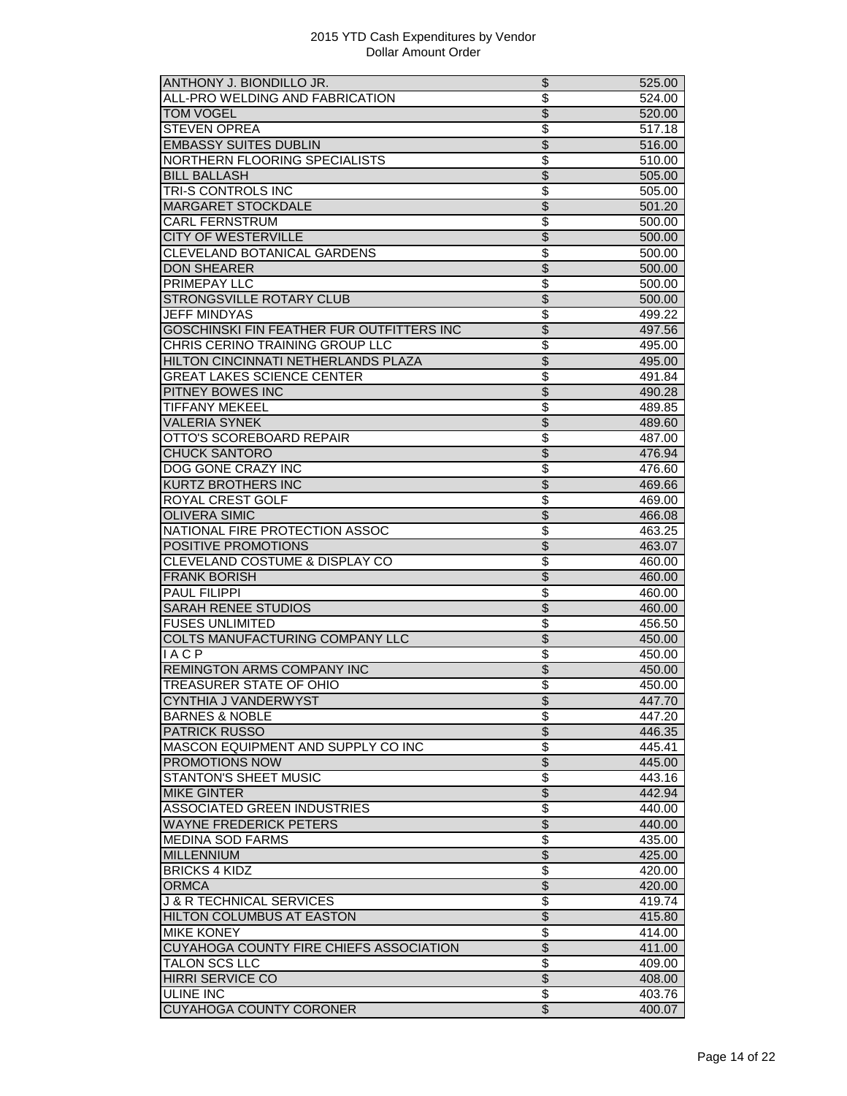| ANTHONY J. BIONDILLO JR.                       | \$                       | 525.00 |
|------------------------------------------------|--------------------------|--------|
| ALL-PRO WELDING AND FABRICATION                | $\overline{\$}$          | 524.00 |
| <b>TOM VOGEL</b>                               | $\overline{\$}$          | 520.00 |
| <b>STEVEN OPREA</b>                            | \$                       | 517.18 |
| <b>EMBASSY SUITES DUBLIN</b>                   | $\overline{\$}$          | 516.00 |
| NORTHERN FLOORING SPECIALISTS                  | \$                       | 510.00 |
| <b>BILL BALLASH</b>                            | $\overline{\$}$          | 505.00 |
| TRI-S CONTROLS INC                             | \$                       | 505.00 |
| <b>MARGARET STOCKDALE</b>                      | \$                       | 501.20 |
| <b>CARL FERNSTRUM</b>                          | \$                       | 500.00 |
| <b>CITY OF WESTERVILLE</b>                     | $\overline{\$}$          | 500.00 |
| CLEVELAND BOTANICAL GARDENS                    | \$                       | 500.00 |
| <b>DON SHEARER</b>                             | $\overline{\$}$          | 500.00 |
| PRIMEPAY LLC                                   | \$                       | 500.00 |
| <b>STRONGSVILLE ROTARY CLUB</b>                | \$                       | 500.00 |
| <b>JEFF MINDYAS</b>                            | \$                       | 499.22 |
| GOSCHINSKI FIN FEATHER FUR OUTFITTERS INC      | $\overline{\$}$          | 497.56 |
| CHRIS CERINO TRAINING GROUP LLC                |                          |        |
|                                                | \$                       | 495.00 |
| <b>HILTON CINCINNATI NETHERLANDS PLAZA</b>     | $\overline{\$}$          | 495.00 |
| <b>GREAT LAKES SCIENCE CENTER</b>              | \$                       | 491.84 |
| PITNEY BOWES INC                               | $\overline{\$}$          | 490.28 |
| <b>TIFFANY MEKEEL</b>                          | \$                       | 489.85 |
| <b>VALERIA SYNEK</b>                           | $\overline{\$}$          | 489.60 |
| OTTO'S SCOREBOARD REPAIR                       | $\overline{\$}$          | 487.00 |
| <b>CHUCK SANTORO</b>                           | $\overline{\mathcal{S}}$ | 476.94 |
| <b>DOG GONE CRAZY INC</b>                      | \$                       | 476.60 |
| <b>KURTZ BROTHERS INC</b>                      | \$                       | 469.66 |
| ROYAL CREST GOLF                               | \$                       | 469.00 |
| <b>OLIVERA SIMIC</b>                           | $\overline{\$}$          | 466.08 |
| NATIONAL FIRE PROTECTION ASSOC                 | \$                       | 463.25 |
| POSITIVE PROMOTIONS                            | $\overline{\$}$          | 463.07 |
| CLEVELAND COSTUME & DISPLAY CO                 | $\overline{\$}$          | 460.00 |
| <b>FRANK BORISH</b>                            | $\overline{\mathcal{S}}$ | 460.00 |
| <b>PAUL FILIPPI</b>                            | $\overline{\$}$          | 460.00 |
| <b>SARAH RENEE STUDIOS</b>                     | \$                       | 460.00 |
| <b>FUSES UNLIMITED</b>                         | \$                       | 456.50 |
| COLTS MANUFACTURING COMPANY LLC                | $\overline{\$}$          | 450.00 |
| <b>IACP</b>                                    | $\overline{\$}$          | 450.00 |
| REMINGTON ARMS COMPANY INC                     | $\overline{\$}$          | 450.00 |
| TREASURER STATE OF OHIO                        | $\overline{\$}$          |        |
|                                                |                          | 450.00 |
| CYNTHIA J VANDERWYST                           | \$                       | 447.70 |
| <b>BARNES &amp; NOBLE</b>                      | \$                       | 447.20 |
| <b>PATRICK RUSSO</b>                           | \$                       | 446.35 |
| MASCON EQUIPMENT AND SUPPLY CO INC             | \$                       | 445.41 |
| <b>PROMOTIONS NOW</b>                          | $\overline{\$}$          | 445.00 |
| <b>STANTON'S SHEET MUSIC</b>                   | \$                       | 443.16 |
| <b>MIKE GINTER</b>                             | $\overline{\$}$          | 442.94 |
| <b>ASSOCIATED GREEN INDUSTRIES</b>             | \$                       | 440.00 |
| <b>WAYNE FREDERICK PETERS</b>                  | $\overline{\$}$          | 440.00 |
| <b>MEDINA SOD FARMS</b>                        | \$                       | 435.00 |
| <b>MILLENNIUM</b>                              | \$                       | 425.00 |
| <b>BRICKS 4 KIDZ</b>                           | $\overline{\$}$          | 420.00 |
| <b>ORMCA</b>                                   | $\overline{\$}$          | 420.00 |
| <b>J &amp; R TECHNICAL SERVICES</b>            | \$                       | 419.74 |
| HILTON COLUMBUS AT EASTON                      | $\overline{\$}$          | 415.80 |
| <b>MIKE KONEY</b>                              | \$                       | 414.00 |
| <b>CUYAHOGA COUNTY FIRE CHIEFS ASSOCIATION</b> | \$                       | 411.00 |
| TALON SCS LLC                                  | \$                       | 409.00 |
| <b>HIRRI SERVICE CO</b>                        | $\overline{\$}$          | 408.00 |
| ULINE INC                                      | $\overline{\mathcal{E}}$ |        |
|                                                |                          | 403.76 |
| CUYAHOGA COUNTY CORONER                        | $\overline{\mathcal{S}}$ | 400.07 |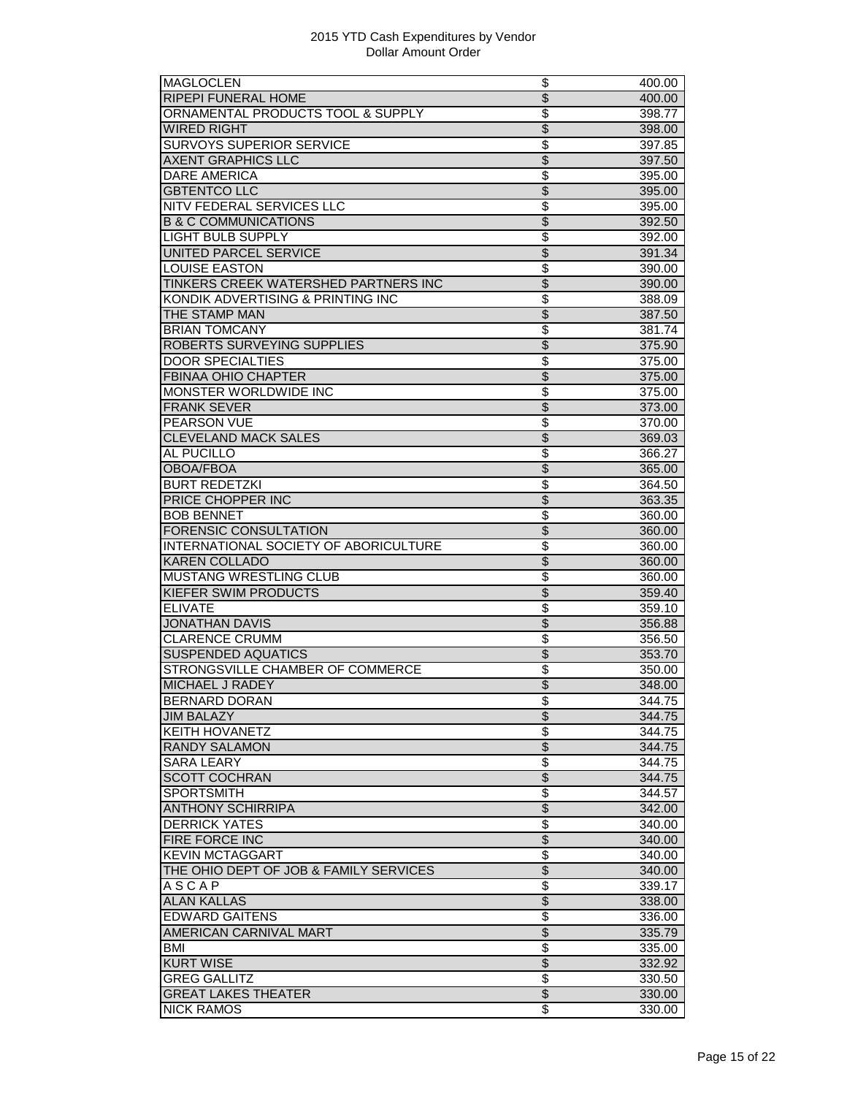| <b>MAGLOCLEN</b>                       | \$                       | 400.00 |
|----------------------------------------|--------------------------|--------|
| <b>RIPEPI FUNERAL HOME</b>             | \$                       | 400.00 |
| ORNAMENTAL PRODUCTS TOOL & SUPPLY      | $\overline{\$}$          | 398.77 |
| <b>WIRED RIGHT</b>                     | $\overline{\mathcal{S}}$ | 398.00 |
| <b>SURVOYS SUPERIOR SERVICE</b>        | \$                       | 397.85 |
| <b>AXENT GRAPHICS LLC</b>              | $\overline{\$}$          | 397.50 |
| <b>DARE AMERICA</b>                    | \$                       | 395.00 |
| <b>GBTENTCO LLC</b>                    | $\overline{\$}$          | 395.00 |
| NITV FEDERAL SERVICES LLC              | $\overline{\$}$          | 395.00 |
| <b>B &amp; C COMMUNICATIONS</b>        | \$                       | 392.50 |
| <b>LIGHT BULB SUPPLY</b>               | $\overline{\$}$          | 392.00 |
| UNITED PARCEL SERVICE                  | \$                       | 391.34 |
| <b>LOUISE EASTON</b>                   | $\overline{\$}$          | 390.00 |
| TINKERS CREEK WATERSHED PARTNERS INC   | $\overline{\$}$          | 390.00 |
| KONDIK ADVERTISING & PRINTING INC      | \$                       | 388.09 |
| THE STAMP MAN                          | $\overline{\$}$          | 387.50 |
| <b>BRIAN TOMCANY</b>                   | \$                       |        |
|                                        |                          | 381.74 |
| ROBERTS SURVEYING SUPPLIES             | $\overline{\$}$          | 375.90 |
| <b>DOOR SPECIALTIES</b>                | \$                       | 375.00 |
| <b>FBINAA OHIO CHAPTER</b>             | $\overline{\$}$          | 375.00 |
| MONSTER WORLDWIDE INC                  | $\overline{\$}$          | 375.00 |
| <b>FRANK SEVER</b>                     | $\overline{\$}$          | 373.00 |
| PEARSON VUE                            | \$                       | 370.00 |
| <b>CLEVELAND MACK SALES</b>            | $\overline{\$}$          | 369.03 |
| AL PUCILLO                             | \$                       | 366.27 |
| <b>OBOA/FBOA</b>                       | \$                       | 365.00 |
| <b>BURT REDETZKI</b>                   | \$                       | 364.50 |
| PRICE CHOPPER INC                      | \$                       | 363.35 |
| <b>BOB BENNET</b>                      | $\overline{\$}$          | 360.00 |
| <b>FORENSIC CONSULTATION</b>           | $\overline{\$}$          | 360.00 |
| INTERNATIONAL SOCIETY OF ABORICULTURE  | $\overline{\$}$          | 360.00 |
| <b>KAREN COLLADO</b>                   | $\overline{\$}$          | 360.00 |
| MUSTANG WRESTLING CLUB                 | \$                       | 360.00 |
| KIEFER SWIM PRODUCTS                   | $\overline{\$}$          | 359.40 |
| <b>ELIVATE</b>                         | \$                       | 359.10 |
| <b>JONATHAN DAVIS</b>                  | \$                       | 356.88 |
| <b>CLARENCE CRUMM</b>                  | \$                       | 356.50 |
| <b>SUSPENDED AQUATICS</b>              | \$                       | 353.70 |
| STRONGSVILLE CHAMBER OF COMMERCE       | \$                       | 350.00 |
| <b>MICHAEL J RADEY</b>                 | $\overline{\$}$          |        |
|                                        |                          | 348.00 |
| <b>BERNARD DORAN</b>                   | \$                       | 344.75 |
| <b>JIM BALAZY</b>                      | $\overline{\$}$          | 344.75 |
| <b>KEITH HOVANETZ</b>                  | \$                       | 344.75 |
| <b>RANDY SALAMON</b>                   | $\overline{\$}$          | 344.75 |
| <b>SARA LEARY</b>                      | $\overline{\$}$          | 344.75 |
| <b>SCOTT COCHRAN</b>                   | $\overline{\mathcal{L}}$ | 344.75 |
| <b>SPORTSMITH</b>                      | \$                       | 344.57 |
| <b>ANTHONY SCHIRRIPA</b>               | $\overline{\mathcal{L}}$ | 342.00 |
| <b>DERRICK YATES</b>                   | \$                       | 340.00 |
| FIRE FORCE INC                         | $\overline{\$}$          | 340.00 |
| <b>KEVIN MCTAGGART</b>                 | \$                       | 340.00 |
| THE OHIO DEPT OF JOB & FAMILY SERVICES | $\overline{\$}$          | 340.00 |
| <b>ASCAP</b>                           | $\overline{\$}$          | 339.17 |
| <b>ALAN KALLAS</b>                     | \$                       | 338.00 |
| <b>EDWARD GAITENS</b>                  | \$                       | 336.00 |
| AMERICAN CARNIVAL MART                 | \$                       | 335.79 |
| BMI                                    | \$                       | 335.00 |
| <b>KURT WISE</b>                       | $\overline{\$}$          | 332.92 |
| <b>GREG GALLITZ</b>                    | $\overline{\$}$          | 330.50 |
| <b>GREAT LAKES THEATER</b>             | $\overline{\$}$          | 330.00 |
|                                        |                          |        |
| <b>NICK RAMOS</b>                      | \$                       | 330.00 |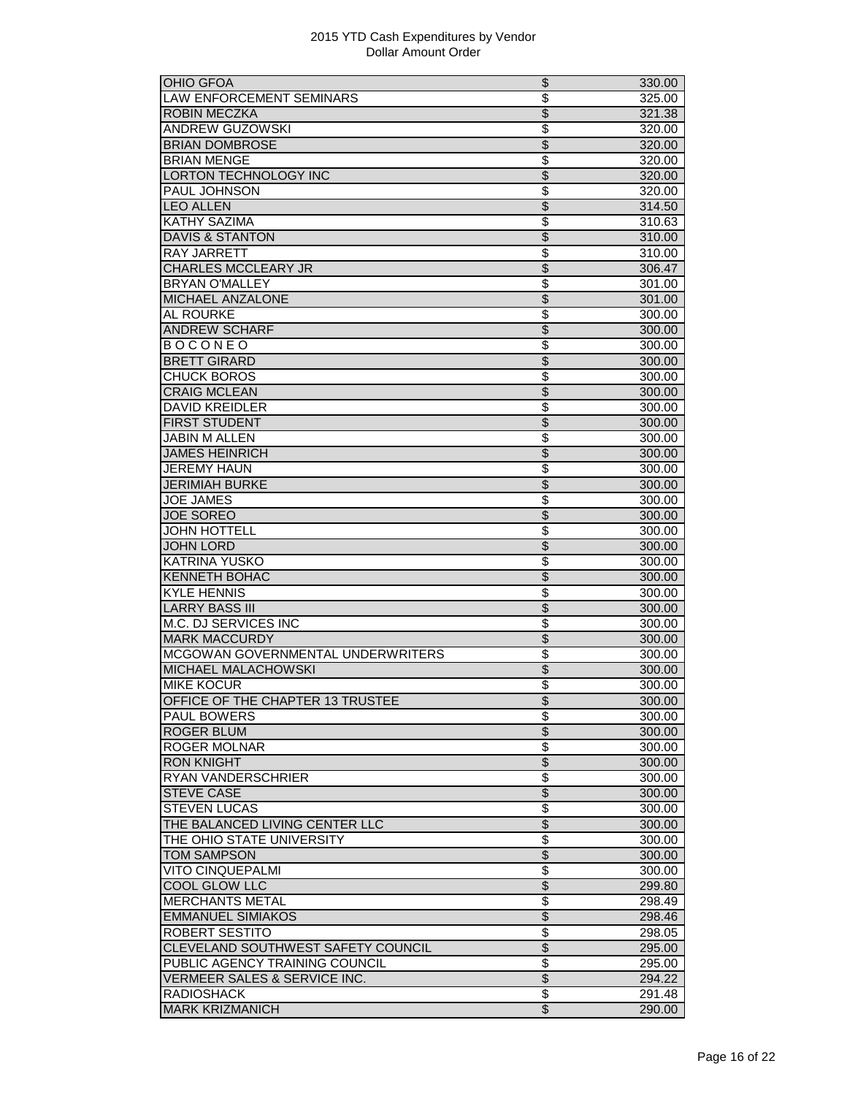| <b>OHIO GFOA</b>                   | \$                       | 330.00 |
|------------------------------------|--------------------------|--------|
| LAW ENFORCEMENT SEMINARS           | \$                       | 325.00 |
| <b>ROBIN MECZKA</b>                | $\overline{\mathcal{S}}$ | 321.38 |
| <b>ANDREW GUZOWSKI</b>             | \$                       | 320.00 |
| <b>BRIAN DOMBROSE</b>              | $\overline{\$}$          | 320.00 |
| <b>BRIAN MENGE</b>                 | \$                       | 320.00 |
| <b>LORTON TECHNOLOGY INC</b>       | \$                       | 320.00 |
| <b>PAUL JOHNSON</b>                | \$                       | 320.00 |
| <b>LEO ALLEN</b>                   | $\overline{\$}$          | 314.50 |
| <b>KATHY SAZIMA</b>                | \$                       | 310.63 |
| <b>DAVIS &amp; STANTON</b>         | $\overline{\mathcal{S}}$ |        |
|                                    |                          | 310.00 |
| <b>RAY JARRETT</b>                 | \$                       | 310.00 |
| <b>CHARLES MCCLEARY JR</b>         | \$                       | 306.47 |
| <b>BRYAN O'MALLEY</b>              | \$                       | 301.00 |
| MICHAEL ANZALONE                   | $\overline{\$}$          | 301.00 |
| <b>AL ROURKE</b>                   | \$                       | 300.00 |
| <b>ANDREW SCHARF</b>               | $\overline{\mathcal{S}}$ | 300.00 |
| <b>BOCONEO</b>                     | \$                       | 300.00 |
| <b>BRETT GIRARD</b>                | $\overline{\mathcal{S}}$ | 300.00 |
| <b>CHUCK BOROS</b>                 | \$                       | 300.00 |
| <b>CRAIG MCLEAN</b>                | $\overline{\$}$          | 300.00 |
| <b>DAVID KREIDLER</b>              | \$                       | 300.00 |
| <b>FIRST STUDENT</b>               | $\overline{\$}$          | 300.00 |
| <b>JABIN M ALLEN</b>               | \$                       | 300.00 |
| <b>JAMES HEINRICH</b>              | \$                       | 300.00 |
| JEREMY HAUN                        | \$                       | 300.00 |
| <b>JERIMIAH BURKE</b>              | $\overline{\$}$          | 300.00 |
| <b>JOE JAMES</b>                   | $\overline{\$}$          | 300.00 |
| <b>JOE SOREO</b>                   | $\overline{\mathcal{S}}$ | 300.00 |
| <b>JOHN HOTTELL</b>                | \$                       | 300.00 |
| <b>JOHN LORD</b>                   | $\overline{\$}$          | 300.00 |
| <b>KATRINA YUSKO</b>               | \$                       | 300.00 |
|                                    |                          |        |
| <b>KENNETH BOHAC</b>               | \$<br>\$                 | 300.00 |
| <b>KYLE HENNIS</b>                 |                          | 300.00 |
| <b>LARRY BASS III</b>              | \$                       | 300.00 |
| <b>M.C. DJ SERVICES INC</b>        | $\overline{\$}$          | 300.00 |
| <b>MARK MACCURDY</b>               | $\overline{\mathcal{S}}$ | 300.00 |
| MCGOWAN GOVERNMENTAL UNDERWRITERS  | \$                       | 300.00 |
| MICHAEL MALACHOWSKI                | $\overline{\mathcal{S}}$ | 300.00 |
| <b>MIKE KOCUR</b>                  | \$                       | 300.00 |
| OFFICE OF THE CHAPTER 13 TRUSTEE   | \$                       | 300.00 |
| <b>PAUL BOWERS</b>                 | \$                       | 300.00 |
| <b>ROGER BLUM</b>                  | $\overline{\$}$          | 300.00 |
| ROGER MOLNAR                       | \$                       | 300.00 |
| <b>RON KNIGHT</b>                  | \$                       | 300.00 |
| RYAN VANDERSCHRIER                 | \$                       | 300.00 |
| <b>STEVE CASE</b>                  | $\overline{\mathcal{S}}$ | 300.00 |
| <b>STEVEN LUCAS</b>                | \$                       | 300.00 |
| THE BALANCED LIVING CENTER LLC     | $\overline{\$}$          | 300.00 |
| THE OHIO STATE UNIVERSITY          | $\overline{\$}$          | 300.00 |
| <b>TOM SAMPSON</b>                 | $\overline{\$}$          | 300.00 |
| <b>VITO CINQUEPALMI</b>            | $\overline{\$}$          | 300.00 |
| <b>COOL GLOW LLC</b>               | $\overline{\$}$          | 299.80 |
|                                    |                          |        |
| <b>MERCHANTS METAL</b>             | \$                       | 298.49 |
| <b>EMMANUEL SIMIAKOS</b>           | \$                       | 298.46 |
| ROBERT SESTITO                     | \$                       | 298.05 |
| CLEVELAND SOUTHWEST SAFETY COUNCIL | \$                       | 295.00 |
| PUBLIC AGENCY TRAINING COUNCIL     | \$                       | 295.00 |
| VERMEER SALES & SERVICE INC.       | \$                       | 294.22 |
| <b>RADIOSHACK</b>                  | \$                       | 291.48 |
| <b>MARK KRIZMANICH</b>             | $\overline{\$}$          | 290.00 |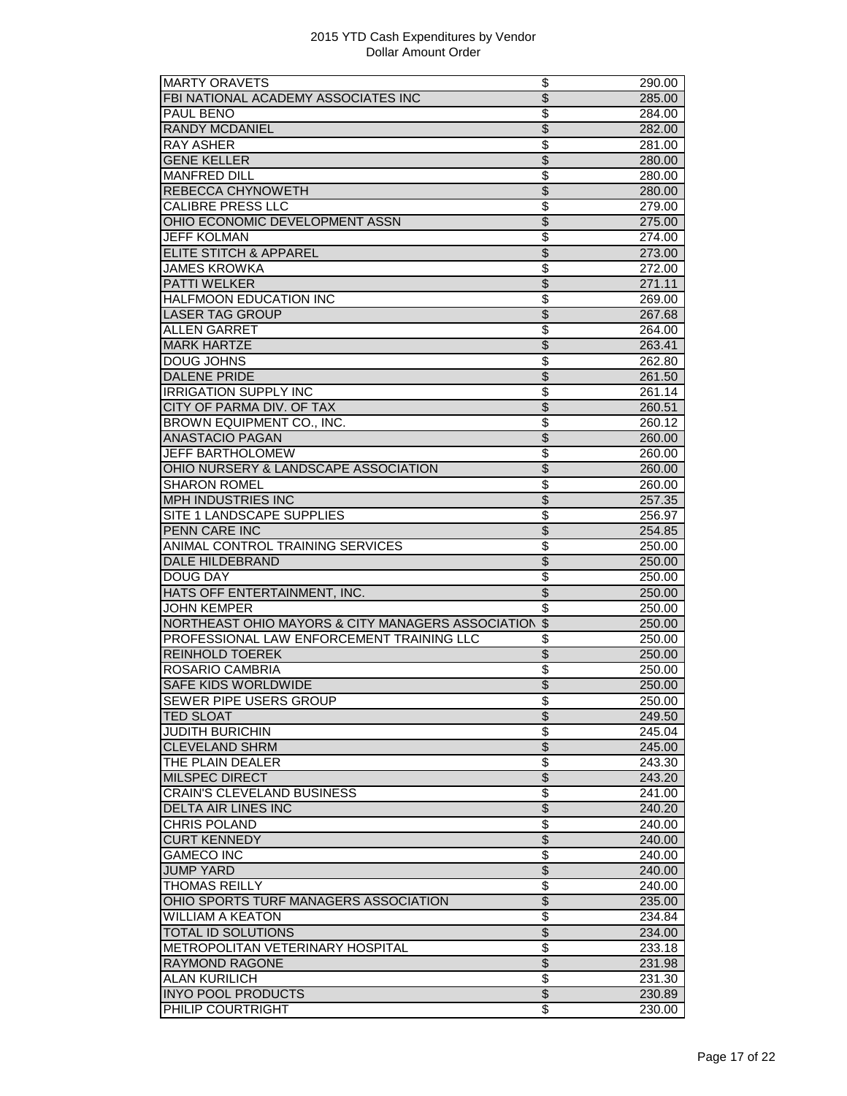| <b>MARTY ORAVETS</b>                                 | \$                       | 290.00              |
|------------------------------------------------------|--------------------------|---------------------|
| FBI NATIONAL ACADEMY ASSOCIATES INC                  | $\overline{\$}$          | 285.00              |
| PAUL BENO                                            | \$                       | 284.00              |
| <b>RANDY MCDANIEL</b>                                | $\overline{\mathcal{S}}$ | 282.00              |
| <b>RAY ASHER</b>                                     | \$                       | 281.00              |
| <b>GENE KELLER</b>                                   | $\overline{\$}$          | 280.00              |
| <b>MANFRED DILL</b>                                  | \$                       | 280.00              |
| <b>REBECCA CHYNOWETH</b>                             | $\overline{\$}$          | 280.00              |
| <b>CALIBRE PRESS LLC</b>                             | \$                       | 279.00              |
| OHIO ECONOMIC DEVELOPMENT ASSN                       | $\overline{\mathcal{S}}$ | 275.00              |
| <b>JEFF KOLMAN</b>                                   | \$                       | 274.00              |
| ELITE STITCH & APPAREL                               | $\overline{\$}$          | 273.00              |
| <b>JAMES KROWKA</b>                                  | \$                       | 272.00              |
| <b>PATTI WELKER</b>                                  | $\overline{\$}$          | 271.11              |
|                                                      |                          |                     |
| <b>HALFMOON EDUCATION INC</b>                        | $\overline{\$}$          | 269.00              |
| <b>LASER TAG GROUP</b>                               | $\overline{\mathcal{S}}$ | 267.68              |
| <b>ALLEN GARRET</b>                                  | \$                       | 264.00              |
| <b>MARK HARTZE</b>                                   | $\overline{\$}$          | 263.41              |
| <b>DOUG JOHNS</b>                                    | \$                       | 262.80              |
| <b>DALENE PRIDE</b>                                  | $\overline{\$}$          | 261.50              |
| <b>IRRIGATION SUPPLY INC</b>                         | \$                       | 261.14              |
| CITY OF PARMA DIV. OF TAX                            | $\overline{\$}$          | 260.51              |
| BROWN EQUIPMENT CO., INC.                            | \$                       | 260.12              |
| <b>ANASTACIO PAGAN</b>                               | $\overline{\mathcal{S}}$ | 260.00              |
| JEFF BARTHOLOMEW                                     | \$                       | 260.00              |
| OHIO NURSERY & LANDSCAPE ASSOCIATION                 | $\overline{\$}$          | 260.00              |
| <b>SHARON ROMEL</b>                                  | \$                       | 260.00              |
| <b>MPH INDUSTRIES INC</b>                            | \$                       | 257.35              |
| SITE 1 LANDSCAPE SUPPLIES                            | \$                       | 256.97              |
| <b>PENN CARE INC</b>                                 | $\overline{\$}$          | 254.85              |
| ANIMAL CONTROL TRAINING SERVICES                     | \$                       | 250.00              |
| DALE HILDEBRAND                                      | $\overline{\mathcal{S}}$ | 250.00              |
|                                                      | \$                       |                     |
| <b>DOUG DAY</b>                                      | $\overline{\$}$          | 250.00              |
| HATS OFF ENTERTAINMENT, INC.                         |                          | 250.00              |
| <b>JOHN KEMPER</b>                                   | \$                       | 250.00              |
| NORTHEAST OHIO MAYORS & CITY MANAGERS ASSOCIATION \$ |                          | 250.00              |
| PROFESSIONAL LAW ENFORCEMENT TRAINING LLC            |                          | 250.00              |
|                                                      | \$                       |                     |
| <b>REINHOLD TOEREK</b>                               | $\overline{\mathcal{S}}$ | 250.00              |
| ROSARIO CAMBRIA                                      | \$                       | 250.00              |
| <b>SAFE KIDS WORLDWIDE</b>                           | \$                       | 250.00              |
| SEWER PIPE USERS GROUP                               | \$                       | 250.00              |
| <b>TED SLOAT</b>                                     | $\overline{\$}$          | 249.50              |
| <b>JUDITH BURICHIN</b>                               | \$                       | 245.04              |
| <b>CLEVELAND SHRM</b>                                | \$                       | 245.00              |
| THE PLAIN DEALER                                     | \$                       | 243.30              |
|                                                      |                          | 243.20              |
| MILSPEC DIRECT                                       | \$                       |                     |
| <b>CRAIN'S CLEVELAND BUSINESS</b>                    | \$                       | 241.00              |
| DELTA AIR LINES INC                                  | \$                       | 240.20              |
| <b>CHRIS POLAND</b>                                  | \$                       | 240.00              |
| <b>CURT KENNEDY</b>                                  | $\overline{\$}$          | 240.00              |
| <b>GAMECO INC</b>                                    | \$                       | $\overline{240.00}$ |
| <b>JUMP YARD</b>                                     | $\overline{\$}$          | 240.00              |
| <b>THOMAS REILLY</b>                                 | \$                       | 240.00              |
| OHIO SPORTS TURF MANAGERS ASSOCIATION                | $\overline{\mathcal{S}}$ | 235.00              |
| <b>WILLIAM A KEATON</b>                              | \$                       | 234.84              |
| <b>TOTAL ID SOLUTIONS</b>                            | \$                       | 234.00              |
| METROPOLITAN VETERINARY HOSPITAL                     | \$                       | 233.18              |
| <b>RAYMOND RAGONE</b>                                | $\overline{\$}$          | 231.98              |
| <b>ALAN KURILICH</b>                                 | \$                       | 231.30              |
| <b>INYO POOL PRODUCTS</b><br>PHILIP COURTRIGHT       | $\frac{1}{2}$<br>\$      | 230.89              |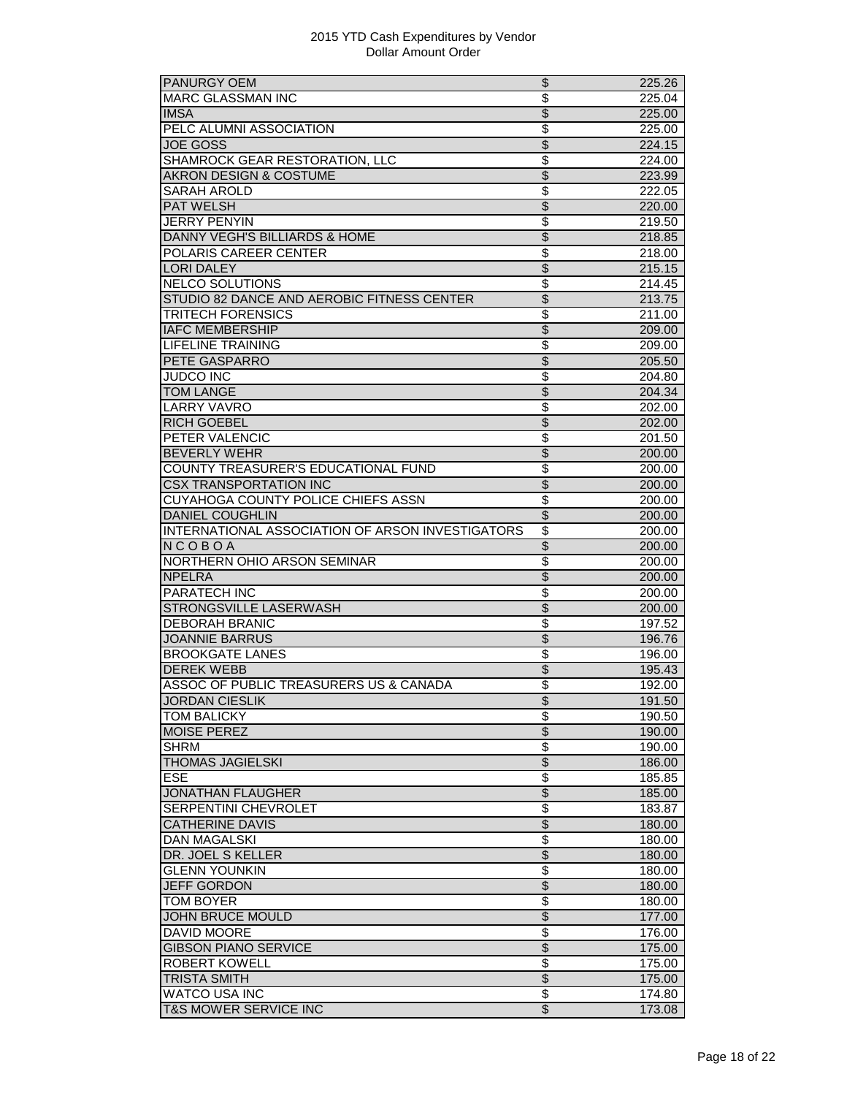| PANURGY OEM                                              | \$                                                   | 225.26           |
|----------------------------------------------------------|------------------------------------------------------|------------------|
| <b>MARC GLASSMAN INC</b>                                 | $\overline{\$}$                                      | 225.04           |
| <b>IMSA</b>                                              | $\overline{\$}$                                      | 225.00           |
| PELC ALUMNI ASSOCIATION                                  | $\overline{\mathcal{S}}$                             | 225.00           |
| <b>JOE GOSS</b>                                          | $\overline{\$}$                                      | 224.15           |
| SHAMROCK GEAR RESTORATION, LLC                           | \$                                                   | 224.00           |
| <b>AKRON DESIGN &amp; COSTUME</b>                        | \$                                                   | 223.99           |
| <b>SARAH AROLD</b>                                       | \$                                                   | 222.05           |
| <b>PAT WELSH</b>                                         | $\overline{\$}$                                      | 220.00           |
| <b>JERRY PENYIN</b>                                      | $\overline{\$}$                                      | 219.50           |
| <b>DANNY VEGH'S BILLIARDS &amp; HOME</b>                 | $\overline{\$}$                                      | 218.85           |
|                                                          |                                                      |                  |
| POLARIS CAREER CENTER                                    | \$                                                   | 218.00           |
| LORI DALEY                                               | \$                                                   | 215.15           |
| <b>NELCO SOLUTIONS</b>                                   | \$                                                   | 214.45           |
| STUDIO 82 DANCE AND AEROBIC FITNESS CENTER               | \$                                                   | 213.75           |
| <b>TRITECH FORENSICS</b>                                 | $\overline{\mathcal{S}}$                             | 211.00           |
| <b>IAFC MEMBERSHIP</b>                                   | $\overline{\$}$                                      | 209.00           |
| <b>LIFELINE TRAINING</b>                                 | $\overline{\$}$                                      | 209.00           |
| PETE GASPARRO                                            | $\overline{\$}$                                      | 205.50           |
| <b>JUDCO INC</b>                                         | $\overline{\$}$                                      | 204.80           |
| <b>TOM LANGE</b>                                         | $\overline{\$}$                                      | 204.34           |
| <b>LARRY VAVRO</b>                                       | \$                                                   | 202.00           |
| <b>RICH GOEBEL</b>                                       | $\overline{\$}$                                      | 202.00           |
| PETER VALENCIC                                           | $\overline{\$}$                                      | 201.50           |
| <b>BEVERLY WEHR</b>                                      | $\overline{\mathcal{S}}$                             | 200.00           |
| COUNTY TREASURER'S EDUCATIONAL FUND                      | \$                                                   | 200.00           |
| <b>CSX TRANSPORTATION INC</b>                            | $\overline{\$}$                                      | 200.00           |
| CUYAHOGA COUNTY POLICE CHIEFS ASSN                       | \$                                                   | 200.00           |
| <b>DANIEL COUGHLIN</b>                                   | $\overline{\mathcal{S}}$                             | 200.00           |
| INTERNATIONAL ASSOCIATION OF ARSON INVESTIGATORS         | $\overline{\$}$                                      | 200.00           |
| NCOBOA                                                   | $\overline{\$}$                                      | 200.00           |
| NORTHERN OHIO ARSON SEMINAR                              | $\overline{\$}$                                      |                  |
|                                                          |                                                      | 200.00           |
| <b>NPELRA</b><br><b>PARATECH INC</b>                     | $\overline{\mathcal{S}}$                             | 200.00           |
|                                                          | $\overline{\$}$                                      | 200.00           |
| STRONGSVILLE LASERWASH                                   | $\overline{\$}$                                      | 200.00           |
| <b>DEBORAH BRANIC</b>                                    | \$                                                   | 197.52           |
| <b>JOANNIE BARRUS</b>                                    | $\overline{\mathcal{S}}$                             | 196.76           |
| <b>BROOKGATE LANES</b>                                   | $\overline{\$}$                                      | 196.00           |
| <b>DEREK WEBB</b>                                        | $\overline{\$}$                                      | 195.43           |
| ASSOC OF PUBLIC TREASURERS US & CANADA                   | $\overline{\$}$                                      | 192.00           |
| JORDAN CIESLIK                                           | \$                                                   | 191.50           |
| TOM BALICKY                                              | \$                                                   | 190.50           |
| <b>MOISE PEREZ</b>                                       | \$                                                   | 190.00           |
| <b>SHRM</b>                                              | \$                                                   | 190.00           |
| <b>THOMAS JAGIELSKI</b>                                  | $\overline{\$}$                                      | 186.00           |
| <b>ESE</b>                                               | \$                                                   | 185.85           |
| <b>JONATHAN FLAUGHER</b>                                 | $\overline{\$}$                                      | 185.00           |
| <b>SERPENTINI CHEVROLET</b>                              | \$                                                   | 183.87           |
| <b>CATHERINE DAVIS</b>                                   | $\overline{\$}$                                      | 180.00           |
| <b>DAN MAGALSKI</b>                                      | \$                                                   | 180.00           |
| DR. JOEL S KELLER                                        | $\overline{\$}$                                      | 180.00           |
| <b>GLENN YOUNKIN</b>                                     | $\overline{\$}$                                      | 180.00           |
|                                                          |                                                      |                  |
| <b>JEFF GORDON</b>                                       | $\overline{\$}$                                      | 180.00           |
| <b>TOM BOYER</b>                                         | \$                                                   | 180.00           |
| <b>JOHN BRUCE MOULD</b>                                  | $\overline{\$}$                                      | 177.00           |
| DAVID MOORE                                              | $\overline{\$}$                                      | 176.00           |
| <b>GIBSON PIANO SERVICE</b>                              |                                                      |                  |
|                                                          | $\overline{\$}$                                      | 175.00           |
| <b>ROBERT KOWELL</b>                                     | $\overline{\mathbf{e}}$                              | 175.00           |
| <b>TRISTA SMITH</b>                                      | $\overline{\mathcal{S}}$                             | 175.00           |
| <b>WATCO USA INC</b><br><b>T&amp;S MOWER SERVICE INC</b> | $\overline{\mathcal{E}}$<br>$\overline{\mathcal{E}}$ | 174.80<br>173.08 |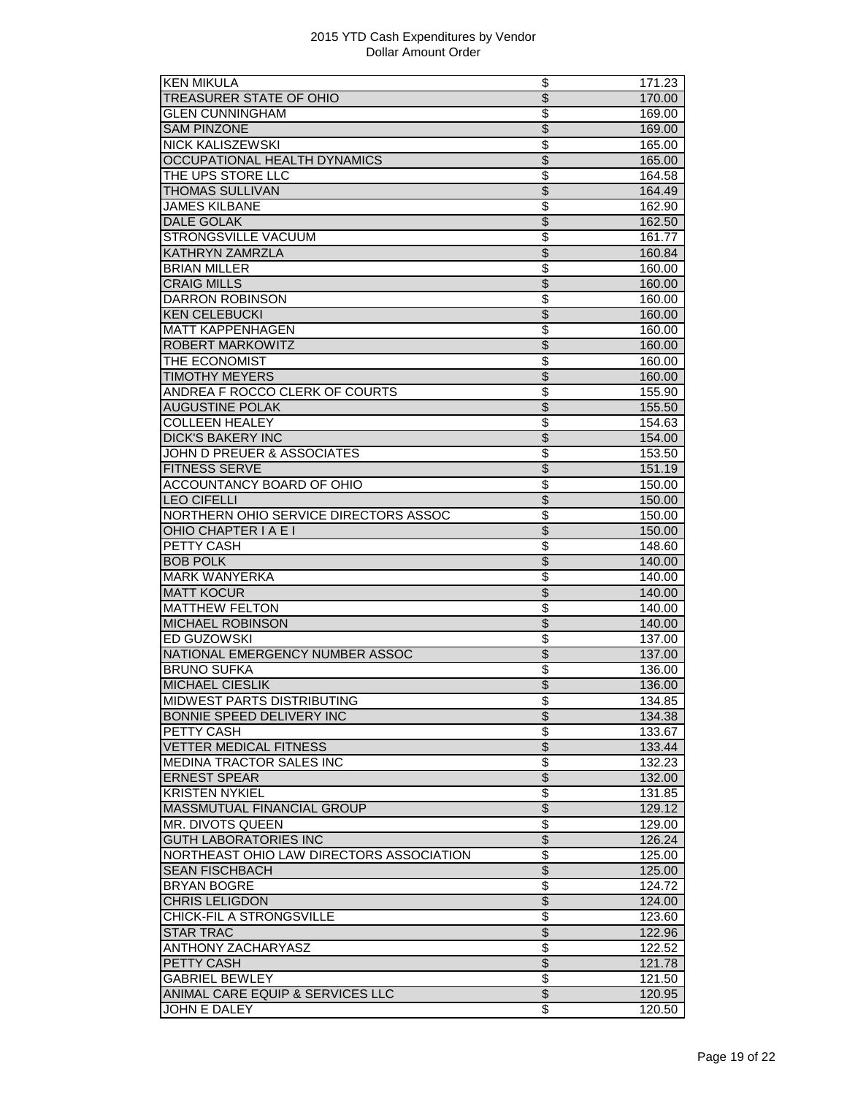| <b>KEN MIKULA</b>                                       | \$                             | 171.23 |
|---------------------------------------------------------|--------------------------------|--------|
| <b>TREASURER STATE OF OHIO</b>                          | $\overline{\$}$                | 170.00 |
| <b>GLEN CUNNINGHAM</b>                                  | \$                             | 169.00 |
| <b>SAM PINZONE</b>                                      | \$                             | 169.00 |
| <b>NICK KALISZEWSKI</b>                                 | \$                             | 165.00 |
| <b>OCCUPATIONAL HEALTH DYNAMICS</b>                     | \$                             | 165.00 |
| THE UPS STORE LLC                                       | $\overline{\$}$                | 164.58 |
| <b>THOMAS SULLIVAN</b>                                  | $\overline{\$}$                | 164.49 |
| <b>JAMES KILBANE</b>                                    | $\overline{\mathcal{S}}$       | 162.90 |
| <b>DALE GOLAK</b>                                       | $\overline{\mathcal{S}}$       | 162.50 |
| <b>STRONGSVILLE VACUUM</b>                              | \$                             | 161.77 |
| KATHRYN ZAMRZLA                                         | $\overline{\$}$                | 160.84 |
| <b>BRIAN MILLER</b>                                     | $\overline{\$}$                | 160.00 |
| <b>CRAIG MILLS</b>                                      | $\overline{\$}$                | 160.00 |
| <b>DARRON ROBINSON</b>                                  | $\overline{\$}$                | 160.00 |
| <b>KEN CELEBUCKI</b>                                    | $\overline{\mathcal{S}}$       | 160.00 |
| <b>MATT KAPPENHAGEN</b>                                 | \$                             | 160.00 |
| ROBERT MARKOWITZ                                        | \$                             | 160.00 |
| THE ECONOMIST                                           | $\overline{\$}$                | 160.00 |
| <b>TIMOTHY MEYERS</b>                                   | $\overline{\$}$                |        |
| ANDREA F ROCCO CLERK OF COURTS                          | $\overline{\$}$                | 160.00 |
| <b>AUGUSTINE POLAK</b>                                  | $\overline{\$}$                | 155.90 |
|                                                         |                                | 155.50 |
| <b>COLLEEN HEALEY</b>                                   | $\overline{\$}$                | 154.63 |
| <b>DICK'S BAKERY INC</b>                                | $\overline{\$}$                | 154.00 |
| JOHN D PREUER & ASSOCIATES                              | \$                             | 153.50 |
| <b>FITNESS SERVE</b>                                    | $\overline{\$}$                | 151.19 |
| ACCOUNTANCY BOARD OF OHIO                               | \$                             | 150.00 |
| <b>LEO CIFELLI</b>                                      | $\overline{\$}$                | 150.00 |
| NORTHERN OHIO SERVICE DIRECTORS ASSOC                   | $\overline{\mathcal{S}}$       | 150.00 |
| OHIO CHAPTER I A E I                                    | $\overline{\$}$                | 150.00 |
| PETTY CASH                                              | $\overline{\$}$                | 148.60 |
| <b>BOB POLK</b>                                         | $\overline{\mathcal{S}}$       | 140.00 |
| <b>MARK WANYERKA</b>                                    | \$                             | 140.00 |
| <b>MATT KOCUR</b>                                       | $\overline{\$}$                | 140.00 |
| <b>MATTHEW FELTON</b>                                   | \$                             | 140.00 |
| <b>MICHAEL ROBINSON</b>                                 | $\overline{\$}$                | 140.00 |
| ED GUZOWSKI                                             | $\overline{\mathcal{S}}$       | 137.00 |
| NATIONAL EMERGENCY NUMBER ASSOC                         | $\overline{\$}$                | 137.00 |
| <b>BRUNO SUFKA</b>                                      | \$                             | 136.00 |
| <b>MICHAEL CIESLIK</b>                                  | $\overline{\$}$                | 136.00 |
| MIDWEST PARTS DISTRIBUTING                              | Φ                              | 134.85 |
| BONNIE SPEED DELIVERY INC                               | $\overline{\$}$                | 134.38 |
| PETTY CASH                                              | \$                             | 133.67 |
| <b>VETTER MEDICAL FITNESS</b>                           | $\overline{\$}$                | 133.44 |
| MEDINA TRACTOR SALES INC                                | \$                             | 132.23 |
| <b>ERNEST SPEAR</b>                                     | $\overline{\mathcal{S}}$       | 132.00 |
| <b>KRISTEN NYKIEL</b>                                   | \$                             | 131.85 |
| MASSMUTUAL FINANCIAL GROUP                              | $\overline{\$}$                | 129.12 |
| MR. DIVOTS QUEEN                                        | \$                             | 129.00 |
| <b>GUTH LABORATORIES INC</b>                            | $\overline{\$}$                | 126.24 |
| NORTHEAST OHIO LAW DIRECTORS ASSOCIATION                | $\overline{\$}$                | 125.00 |
|                                                         |                                |        |
| <b>SEAN FISCHBACH</b>                                   | $\overline{\$}$                | 125.00 |
| <b>BRYAN BOGRE</b>                                      | \$                             | 124.72 |
| <b>CHRIS LELIGDON</b>                                   | \$                             | 124.00 |
| CHICK-FIL A STRONGSVILLE                                | \$                             | 123.60 |
| <b>STAR TRAC</b>                                        | $\overline{\$}$                | 122.96 |
| <b>ANTHONY ZACHARYASZ</b>                               | $\overline{\$}$                | 122.52 |
| PETTY CASH                                              | $\overline{\mathcal{S}}$       | 121.78 |
|                                                         |                                |        |
| <b>GABRIEL BEWLEY</b>                                   | $\overline{\mathcal{E}}$       | 121.50 |
| ANIMAL CARE EQUIP & SERVICES LLC<br><b>JOHN E DALEY</b> | $\overline{\mathcal{E}}$<br>\$ | 120.95 |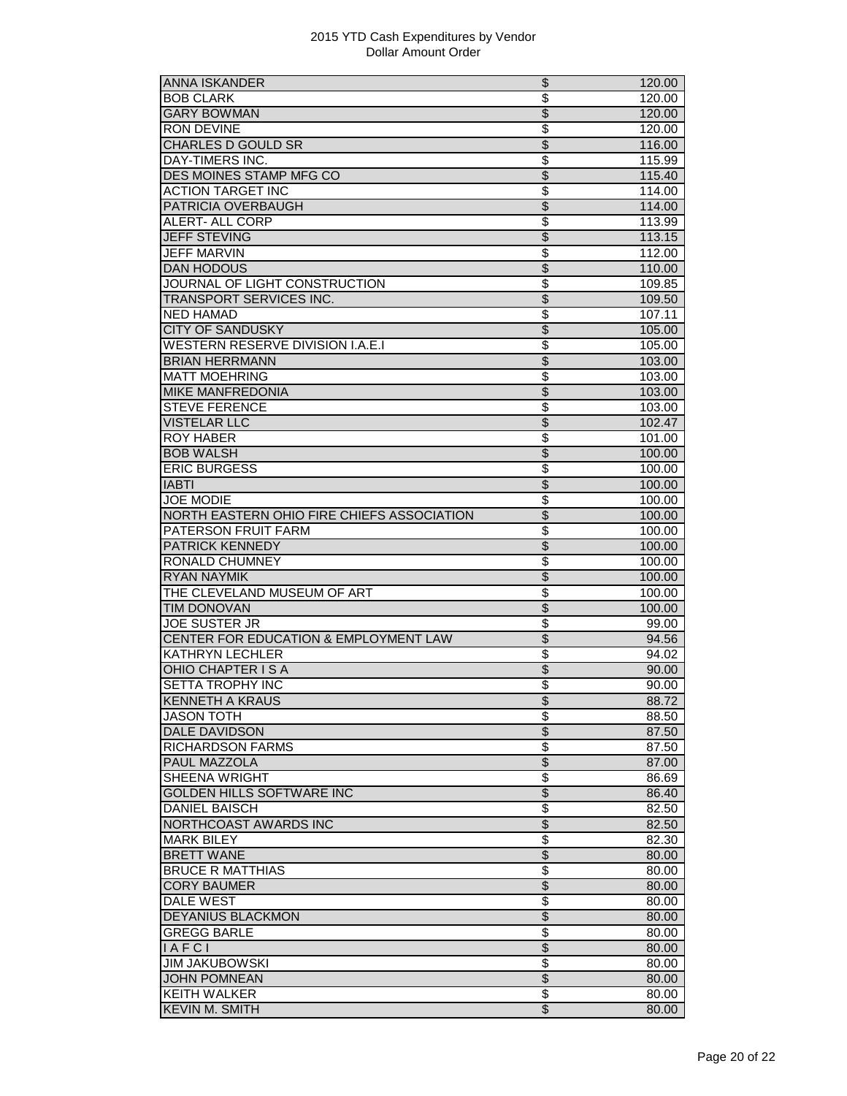| ANNA ISKANDER                                | \$                       | 120.00 |
|----------------------------------------------|--------------------------|--------|
| <b>BOB CLARK</b>                             | $\overline{\$}$          | 120.00 |
| <b>GARY BOWMAN</b>                           | $\overline{\mathcal{S}}$ | 120.00 |
| <b>RON DEVINE</b>                            | \$                       | 120.00 |
| <b>CHARLES D GOULD SR</b>                    | $\overline{\$}$          | 116.00 |
| DAY-TIMERS INC.                              | $\overline{\$}$          | 115.99 |
| <b>DES MOINES STAMP MFG CO</b>               | $\overline{\$}$          | 115.40 |
| <b>ACTION TARGET INC</b>                     | $\overline{\mathcal{S}}$ | 114.00 |
| PATRICIA OVERBAUGH                           | $\overline{\$}$          | 114.00 |
| <b>ALERT- ALL CORP</b>                       | \$                       | 113.99 |
| <b>JEFF STEVING</b>                          | $\overline{\$}$          | 113.15 |
| JEFF MARVIN                                  | \$                       | 112.00 |
| <b>DAN HODOUS</b>                            | $\overline{\$}$          | 110.00 |
| JOURNAL OF LIGHT CONSTRUCTION                |                          |        |
|                                              | \$                       | 109.85 |
| <b>TRANSPORT SERVICES INC.</b>               | $\overline{\$}$          | 109.50 |
| <b>NED HAMAD</b>                             | \$                       | 107.11 |
| <b>CITY OF SANDUSKY</b>                      | $\overline{\mathcal{S}}$ | 105.00 |
| WESTERN RESERVE DIVISION I.A.E.I             | \$                       | 105.00 |
| <b>BRIAN HERRMANN</b>                        | $\overline{\$}$          | 103.00 |
| <b>MATT MOEHRING</b>                         | \$                       | 103.00 |
| MIKE MANFREDONIA                             | $\overline{\mathcal{S}}$ | 103.00 |
| <b>STEVE FERENCE</b>                         | $\overline{\$}$          | 103.00 |
| <b>VISTELAR LLC</b>                          | $\overline{\$}$          | 102.47 |
| <b>ROY HABER</b>                             | \$                       | 101.00 |
| <b>BOB WALSH</b>                             | \$                       | 100.00 |
| <b>ERIC BURGESS</b>                          | \$                       | 100.00 |
| <b>IABTI</b>                                 | $\overline{\$}$          | 100.00 |
| <b>JOE MODIE</b>                             | $\overline{\$}$          | 100.00 |
| NORTH EASTERN OHIO FIRE CHIEFS ASSOCIATION   | $\overline{\$}$          | 100.00 |
| PATERSON FRUIT FARM                          | \$                       | 100.00 |
| PATRICK KENNEDY                              | $\overline{\mathcal{S}}$ | 100.00 |
| RONALD CHUMNEY                               | \$                       | 100.00 |
| <b>RYAN NAYMIK</b>                           | $\overline{\$}$          |        |
| THE CLEVELAND MUSEUM OF ART                  | $\overline{\$}$          | 100.00 |
|                                              |                          | 100.00 |
| <b>TIM DONOVAN</b>                           | $\overline{\$}$          | 100.00 |
| <b>JOE SUSTER JR</b>                         | $\overline{\$}$          | 99.00  |
| CENTER FOR EDUCATION & EMPLOYMENT LAW        | $\overline{\mathcal{S}}$ | 94.56  |
| <b>KATHRYN LECHLER</b>                       | \$                       | 94.02  |
| <b>OHIO CHAPTER IS A</b>                     | \$                       | 90.00  |
| <b>SETTA TROPHY INC</b>                      | $\overline{\$}$          | 90.00  |
| <b>KENNETH A KRAUS</b>                       | $\overline{\mathcal{L}}$ | 88.72  |
| <b>JASON TOTH</b>                            | \$                       | 88.50  |
| <b>DALE DAVIDSON</b>                         | \$                       | 87.50  |
| <b>RICHARDSON FARMS</b>                      | $\overline{\$}$          | 87.50  |
| PAUL MAZZOLA                                 | $\overline{\$}$          | 87.00  |
| SHEENA WRIGHT                                | \$                       | 86.69  |
| GOLDEN HILLS SOFTWARE INC                    | \$                       | 86.40  |
| <b>DANIEL BAISCH</b>                         | \$                       | 82.50  |
| NORTHCOAST AWARDS INC                        | $\overline{\$}$          | 82.50  |
| <b>MARK BILEY</b>                            | $\overline{\mathbf{S}}$  | 82.30  |
| <b>BRETT WANE</b>                            | \$                       | 80.00  |
| <b>BRUCE R MATTHIAS</b>                      | \$                       | 80.00  |
|                                              |                          |        |
| <b>CORY BAUMER</b>                           | $\overline{\$}$          | 80.00  |
| <b>DALE WEST</b>                             | \$                       | 80.00  |
| DEYANIUS BLACKMON                            | \$                       | 80.00  |
| <b>GREGG BARLE</b>                           | $\overline{\$}$          | 80.00  |
| $I$ A F C I                                  | $\overline{\$}$          | 80.00  |
| <b>JIM JAKUBOWSKI</b>                        | $\overline{\mathbf{e}}$  | 80.00  |
| <b>JOHN POMNEAN</b>                          |                          | 80.00  |
|                                              | $\overline{\$}$          |        |
| <b>KEITH WALKER</b><br><b>KEVIN M. SMITH</b> | \$<br>$\overline{\$}$    | 80.00  |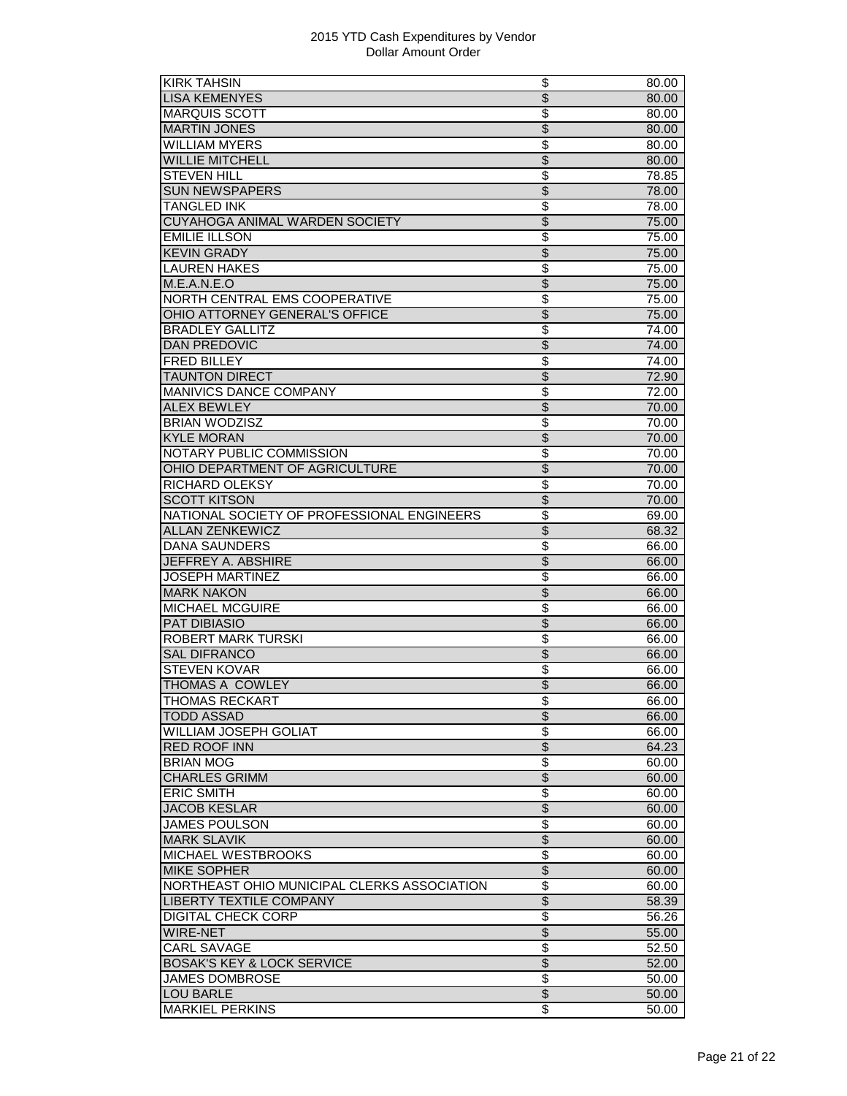| <b>KIRK TAHSIN</b>                          | \$                       | 80.00 |
|---------------------------------------------|--------------------------|-------|
| <b>LISA KEMENYES</b>                        | $\overline{\$}$          | 80.00 |
| <b>MARQUIS SCOTT</b>                        | \$                       | 80.00 |
| <b>MARTIN JONES</b>                         | $\overline{\mathcal{S}}$ | 80.00 |
| <b>WILLIAM MYERS</b>                        | \$                       | 80.00 |
| <b>WILLIE MITCHELL</b>                      | $\overline{\$}$          | 80.00 |
| <b>STEVEN HILL</b>                          | \$                       | 78.85 |
| <b>SUN NEWSPAPERS</b>                       | $\overline{\mathcal{S}}$ | 78.00 |
| <b>TANGLED INK</b>                          | $\overline{\$}$          | 78.00 |
| CUYAHOGA ANIMAL WARDEN SOCIETY              | $\overline{\$}$          | 75.00 |
| <b>EMILIE ILLSON</b>                        |                          |       |
|                                             | \$                       | 75.00 |
| <b>KEVIN GRADY</b>                          | \$                       | 75.00 |
| <b>LAUREN HAKES</b>                         | \$                       | 75.00 |
| M.E.A.N.E.O                                 | $\overline{\$}$          | 75.00 |
| NORTH CENTRAL EMS COOPERATIVE               | $\overline{\$}$          | 75.00 |
| OHIO ATTORNEY GENERAL'S OFFICE              | $\overline{\$}$          | 75.00 |
| <b>BRADLEY GALLITZ</b>                      | $\overline{\$}$          | 74.00 |
| <b>DAN PREDOVIC</b>                         | $\overline{\mathcal{S}}$ | 74.00 |
| <b>FRED BILLEY</b>                          | \$                       | 74.00 |
| <b>TAUNTON DIRECT</b>                       | $\overline{\$}$          | 72.90 |
| MANIVICS DANCE COMPANY                      | \$                       | 72.00 |
| <b>ALEX BEWLEY</b>                          | $\overline{\$}$          | 70.00 |
| <b>BRIAN WODZISZ</b>                        | \$                       | 70.00 |
| <b>KYLE MORAN</b>                           | $\overline{\$}$          | 70.00 |
| NOTARY PUBLIC COMMISSION                    | \$                       | 70.00 |
| OHIO DEPARTMENT OF AGRICULTURE              | \$                       | 70.00 |
| RICHARD OLEKSY                              | $\overline{\$}$          | 70.00 |
| <b>SCOTT KITSON</b>                         | $\overline{\$}$          | 70.00 |
| NATIONAL SOCIETY OF PROFESSIONAL ENGINEERS  | $\overline{\$}$          | 69.00 |
| <b>ALLAN ZENKEWICZ</b>                      | $\overline{\$}$          | 68.32 |
| <b>DANA SAUNDERS</b>                        | $\overline{\$}$          | 66.00 |
| JEFFREY A. ABSHIRE                          | $\overline{\$}$          | 66.00 |
| <b>JOSEPH MARTINEZ</b>                      |                          |       |
| <b>MARK NAKON</b>                           | \$<br>$\overline{\$}$    | 66.00 |
|                                             |                          | 66.00 |
| MICHAEL MCGUIRE                             | \$                       | 66.00 |
| <b>PAT DIBIASIO</b>                         | $\overline{\$}$          | 66.00 |
| <b>ROBERT MARK TURSKI</b>                   | \$                       | 66.00 |
| <b>SAL DIFRANCO</b>                         | $\overline{\$}$          | 66.00 |
| <b>STEVEN KOVAR</b>                         | \$                       | 66.00 |
| THOMAS A COWLEY                             | $\overline{\mathcal{S}}$ | 66.00 |
| THOMAS RECKART                              | \$                       | 66.00 |
| <b>TODD ASSAD</b>                           | $\overline{\$}$          | 66.00 |
| <b>WILLIAM JOSEPH GOLIAT</b>                | $\overline{\$}$          | 66.00 |
| <b>RED ROOF INN</b>                         | $\overline{\$}$          | 64.23 |
| <b>BRIAN MOG</b>                            | $\overline{\$}$          | 60.00 |
| <b>CHARLES GRIMM</b>                        | $\overline{\mathcal{L}}$ | 60.00 |
| <b>ERIC SMITH</b>                           | \$                       | 60.00 |
| <b>JACOB KESLAR</b>                         | $\overline{\$}$          | 60.00 |
| <b>JAMES POULSON</b>                        | \$                       | 60.00 |
| <b>MARK SLAVIK</b>                          | $\overline{\$}$          | 60.00 |
| MICHAEL WESTBROOKS                          | \$                       | 60.00 |
| <b>MIKE SOPHER</b>                          | \$                       | 60.00 |
| NORTHEAST OHIO MUNICIPAL CLERKS ASSOCIATION | \$                       | 60.00 |
| LIBERTY TEXTILE COMPANY                     | $\overline{\mathcal{S}}$ | 58.39 |
| <b>DIGITAL CHECK CORP</b>                   | \$                       |       |
|                                             | \$                       | 56.26 |
| WIRE-NET                                    |                          | 55.00 |
| <b>CARL SAVAGE</b>                          | \$                       | 52.50 |
| <b>BOSAK'S KEY &amp; LOCK SERVICE</b>       | $\overline{\mathcal{S}}$ | 52.00 |
| <b>JAMES DOMBROSE</b>                       | $\overline{\mathbb{S}}$  | 50.00 |
| <b>LOU BARLE</b>                            | $\overline{\$}$          | 50.00 |
| <b>MARKIEL PERKINS</b>                      | $\overline{\mathcal{S}}$ | 50.00 |